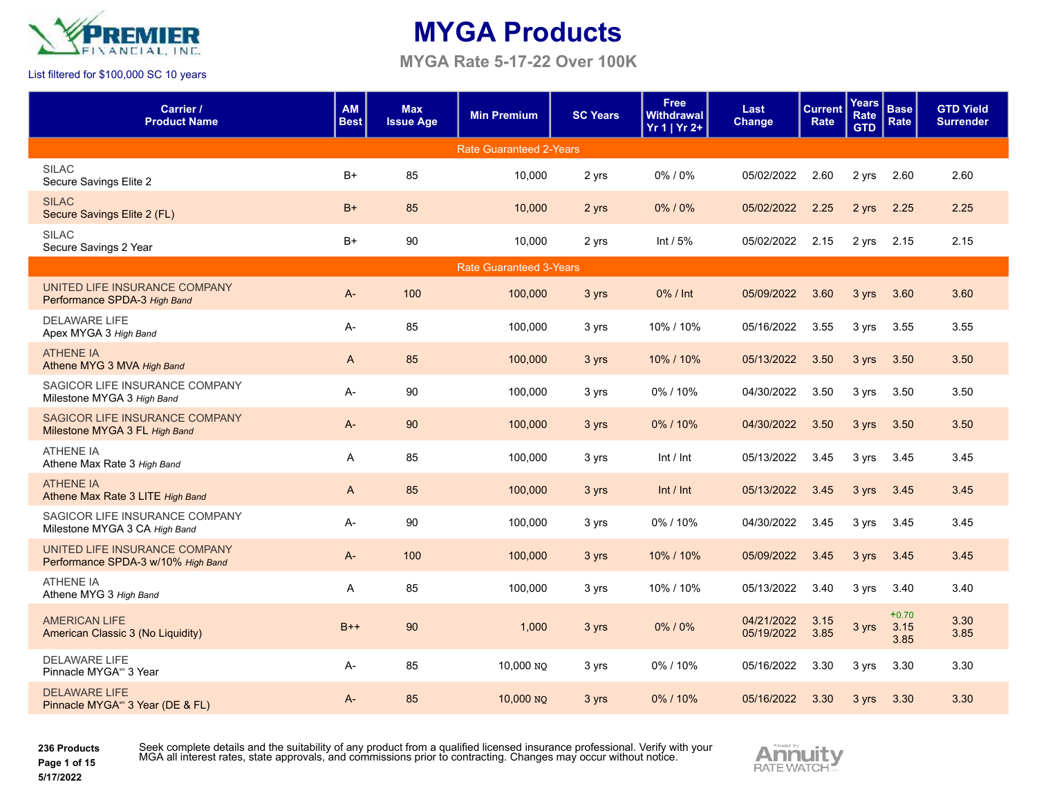

**MYGA Rate 5-17-22 Over 100K**

#### List filtered for \$100,000 SC 10 years

| Carrier /<br><b>Product Name</b>                                    | <b>AM</b><br><b>Best</b> | <b>Max</b><br><b>Issue Age</b> | <b>Min Premium</b>             | <b>SC Years</b> | <b>Free</b><br><b>Withdrawal</b><br>Yr 1   Yr 2+ | Last<br><b>Change</b>    | <b>Current</b><br><b>Rate</b> | <b>Years</b><br>Rate<br><b>GTD</b> | <b>Base</b><br>Rate     | <b>GTD Yield</b><br><b>Surrender</b> |
|---------------------------------------------------------------------|--------------------------|--------------------------------|--------------------------------|-----------------|--------------------------------------------------|--------------------------|-------------------------------|------------------------------------|-------------------------|--------------------------------------|
|                                                                     |                          |                                | <b>Rate Guaranteed 2-Years</b> |                 |                                                  |                          |                               |                                    |                         |                                      |
| <b>SILAC</b><br>Secure Savings Elite 2                              | $B+$                     | 85                             | 10,000                         | 2 yrs           | 0%/0%                                            | 05/02/2022               | 2.60                          | 2 yrs                              | 2.60                    | 2.60                                 |
| <b>SILAC</b><br>Secure Savings Elite 2 (FL)                         | $B+$                     | 85                             | 10,000                         | 2 yrs           | 0%/0%                                            | 05/02/2022               | 2.25                          | 2 yrs                              | 2.25                    | 2.25                                 |
| <b>SILAC</b><br>Secure Savings 2 Year                               | $B+$                     | 90                             | 10.000                         | 2 yrs           | Int $/5%$                                        | 05/02/2022               | 2.15                          | 2 yrs                              | 2.15                    | 2.15                                 |
|                                                                     |                          |                                | <b>Rate Guaranteed 3-Years</b> |                 |                                                  |                          |                               |                                    |                         |                                      |
| UNITED LIFE INSURANCE COMPANY<br>Performance SPDA-3 High Band       | $A-$                     | 100                            | 100,000                        | 3 yrs           | 0% / Int                                         | 05/09/2022               | 3.60                          | 3 yrs                              | 3.60                    | 3.60                                 |
| <b>DELAWARE LIFE</b><br>Apex MYGA 3 High Band                       | A-                       | 85                             | 100,000                        | 3 yrs           | 10% / 10%                                        | 05/16/2022               | 3.55                          | 3 yrs                              | 3.55                    | 3.55                                 |
| <b>ATHENE IA</b><br>Athene MYG 3 MVA High Band                      | $\overline{A}$           | 85                             | 100,000                        | 3 yrs           | 10% / 10%                                        | 05/13/2022               | 3.50                          | 3 yrs                              | 3.50                    | 3.50                                 |
| SAGICOR LIFE INSURANCE COMPANY<br>Milestone MYGA 3 High Band        | A-                       | 90                             | 100,000                        | 3 yrs           | 0%/10%                                           | 04/30/2022               | 3.50                          | 3 yrs                              | 3.50                    | 3.50                                 |
| SAGICOR LIFE INSURANCE COMPANY<br>Milestone MYGA 3 FL High Band     | A-                       | 90                             | 100,000                        | 3 yrs           | 0%/10%                                           | 04/30/2022               | 3.50                          | 3 yrs                              | 3.50                    | 3.50                                 |
| <b>ATHENE IA</b><br>Athene Max Rate 3 High Band                     | A                        | 85                             | 100,000                        | 3 yrs           | Int / Int                                        | 05/13/2022               | 3.45                          | 3 yrs                              | 3.45                    | 3.45                                 |
| <b>ATHENE IA</b><br>Athene Max Rate 3 LITE High Band                | $\mathsf{A}$             | 85                             | 100,000                        | 3 yrs           | Int / Int                                        | 05/13/2022               | 3.45                          | 3 yrs                              | 3.45                    | 3.45                                 |
| SAGICOR LIFE INSURANCE COMPANY<br>Milestone MYGA 3 CA High Band     | A-                       | 90                             | 100,000                        | 3 yrs           | 0%/10%                                           | 04/30/2022               | 3.45                          | 3 yrs                              | 3.45                    | 3.45                                 |
| UNITED LIFE INSURANCE COMPANY<br>Performance SPDA-3 w/10% High Band | $A-$                     | 100                            | 100,000                        | 3 yrs           | 10% / 10%                                        | 05/09/2022               | 3.45                          | 3 yrs                              | 3.45                    | 3.45                                 |
| <b>ATHENE IA</b><br>Athene MYG 3 High Band                          | A                        | 85                             | 100,000                        | 3 yrs           | 10% / 10%                                        | 05/13/2022               | 3.40                          | 3 yrs                              | 3.40                    | 3.40                                 |
| <b>AMERICAN LIFE</b><br>American Classic 3 (No Liquidity)           | $B++$                    | 90                             | 1,000                          | 3 yrs           | 0%/0%                                            | 04/21/2022<br>05/19/2022 | 3.15<br>3.85                  | 3 yrs                              | $+0.70$<br>3.15<br>3.85 | 3.30<br>3.85                         |
| <b>DELAWARE LIFE</b><br>Pinnacle MYGA* 3 Year                       | A-                       | 85                             | 10,000 NQ                      | 3 yrs           | 0%/10%                                           | 05/16/2022               | 3.30                          | 3 yrs                              | 3.30                    | 3.30                                 |
| <b>DELAWARE LIFE</b><br>Pinnacle MYGA <sup>®</sup> 3 Year (DE & FL) | $A -$                    | 85                             | $10,000$ NQ                    | 3 yrs           | 0%/10%                                           | 05/16/2022               | 3.30                          | 3 yrs                              | 3.30                    | 3.30                                 |
|                                                                     |                          |                                |                                |                 |                                                  |                          |                               |                                    |                         |                                      |

**236 Products Page 1 of 15**

**5/17/2022**

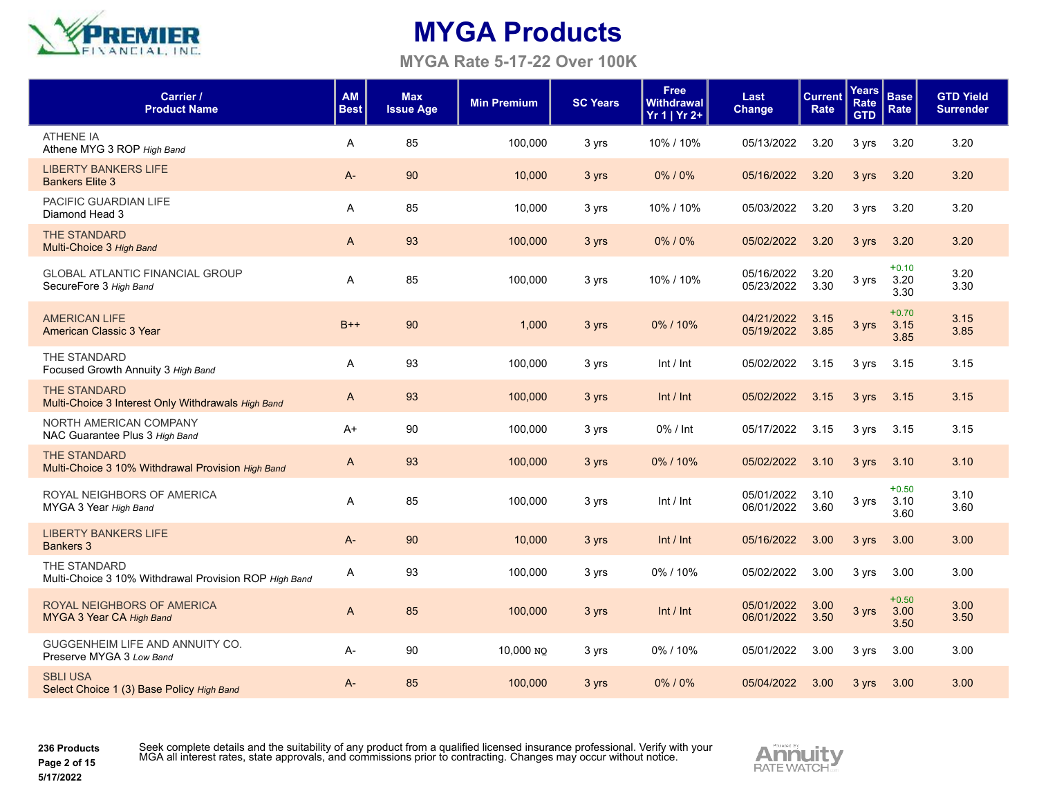

**MYGA Rate 5-17-22 Over 100K**

| Carrier /<br><b>Product Name</b>                                          | <b>AM</b><br><b>Best</b> | <b>Max</b><br><b>Issue Age</b> | <b>Min Premium</b> | <b>SC Years</b> | <b>Free</b><br>Withdrawal<br>Yr 1   Yr 2+ | Last<br><b>Change</b>    | <b>Current</b><br>Rate | <b>Years</b><br>Rate<br><b>GTD</b> | <b>Base</b><br>Rate     | <b>GTD Yield</b><br><b>Surrender</b> |
|---------------------------------------------------------------------------|--------------------------|--------------------------------|--------------------|-----------------|-------------------------------------------|--------------------------|------------------------|------------------------------------|-------------------------|--------------------------------------|
| <b>ATHENE IA</b><br>Athene MYG 3 ROP High Band                            | A                        | 85                             | 100.000            | 3 yrs           | 10% / 10%                                 | 05/13/2022               | 3.20                   | 3 yrs                              | 3.20                    | 3.20                                 |
| <b>LIBERTY BANKERS LIFE</b><br><b>Bankers Elite 3</b>                     | $A -$                    | 90                             | 10,000             | 3 yrs           | 0%/0%                                     | 05/16/2022               | 3.20                   | 3 yrs                              | 3.20                    | 3.20                                 |
| PACIFIC GUARDIAN LIFE<br>Diamond Head 3                                   | A                        | 85                             | 10,000             | 3 yrs           | 10% / 10%                                 | 05/03/2022               | 3.20                   | 3 yrs                              | 3.20                    | 3.20                                 |
| <b>THE STANDARD</b><br>Multi-Choice 3 High Band                           | $\mathsf{A}$             | 93                             | 100,000            | 3 yrs           | 0%/0%                                     | 05/02/2022               | 3.20                   | 3 yrs                              | 3.20                    | 3.20                                 |
| <b>GLOBAL ATLANTIC FINANCIAL GROUP</b><br>SecureFore 3 High Band          | A                        | 85                             | 100,000            | 3 yrs           | 10% / 10%                                 | 05/16/2022<br>05/23/2022 | 3.20<br>3.30           | 3 yrs                              | $+0.10$<br>3.20<br>3.30 | 3.20<br>3.30                         |
| <b>AMERICAN LIFE</b><br>American Classic 3 Year                           | $B++$                    | 90                             | 1,000              | 3 yrs           | 0%/10%                                    | 04/21/2022<br>05/19/2022 | 3.15<br>3.85           | 3 yrs                              | $+0.70$<br>3.15<br>3.85 | 3.15<br>3.85                         |
| THE STANDARD<br>Focused Growth Annuity 3 High Band                        | A                        | 93                             | 100,000            | 3 yrs           | Int / Int                                 | 05/02/2022               | 3.15                   | 3 yrs                              | 3.15                    | 3.15                                 |
| <b>THE STANDARD</b><br>Multi-Choice 3 Interest Only Withdrawals High Band | A                        | 93                             | 100,000            | 3 yrs           | Int / Int                                 | 05/02/2022               | 3.15                   | 3 yrs                              | 3.15                    | 3.15                                 |
| NORTH AMERICAN COMPANY<br>NAC Guarantee Plus 3 High Band                  | $A+$                     | 90                             | 100,000            | 3 yrs           | 0% / Int                                  | 05/17/2022               | 3.15                   | 3 yrs                              | 3.15                    | 3.15                                 |
| <b>THE STANDARD</b><br>Multi-Choice 3 10% Withdrawal Provision High Band  | $\mathsf{A}$             | 93                             | 100,000            | 3 yrs           | $0\%$ / 10%                               | 05/02/2022               | 3.10                   | 3 yrs                              | 3.10                    | 3.10                                 |
| ROYAL NEIGHBORS OF AMERICA<br>MYGA 3 Year High Band                       | A                        | 85                             | 100.000            | 3 yrs           | Int / Int                                 | 05/01/2022<br>06/01/2022 | 3.10<br>3.60           | 3 yrs                              | $+0.50$<br>3.10<br>3.60 | 3.10<br>3.60                         |
| <b>LIBERTY BANKERS LIFE</b><br><b>Bankers 3</b>                           | $A-$                     | 90                             | 10,000             | 3 yrs           | Int / Int                                 | 05/16/2022               | 3.00                   | 3 vrs                              | 3.00                    | 3.00                                 |
| THE STANDARD<br>Multi-Choice 3 10% Withdrawal Provision ROP High Band     | A                        | 93                             | 100,000            | 3 yrs           | 0%/10%                                    | 05/02/2022               | 3.00                   | 3 yrs                              | 3.00                    | 3.00                                 |
| ROYAL NEIGHBORS OF AMERICA<br>MYGA 3 Year CA High Band                    | $\mathsf{A}$             | 85                             | 100,000            | 3 yrs           | Int / Int                                 | 05/01/2022<br>06/01/2022 | 3.00<br>3.50           | 3 yrs                              | $+0.50$<br>3.00<br>3.50 | 3.00<br>3.50                         |
| GUGGENHEIM LIFE AND ANNUITY CO.<br>Preserve MYGA 3 Low Band               | A-                       | 90                             | 10,000 NO          | 3 yrs           | 0%/10%                                    | 05/01/2022               | 3.00                   | 3 yrs                              | 3.00                    | 3.00                                 |
| <b>SBLI USA</b><br>Select Choice 1 (3) Base Policy High Band              | $A -$                    | 85                             | 100,000            | 3 yrs           | $0\%$ / $0\%$                             | 05/04/2022               | 3.00                   | 3 yrs                              | 3.00                    | 3.00                                 |

**236 Products Page 2 of 15**

**5/17/2022**

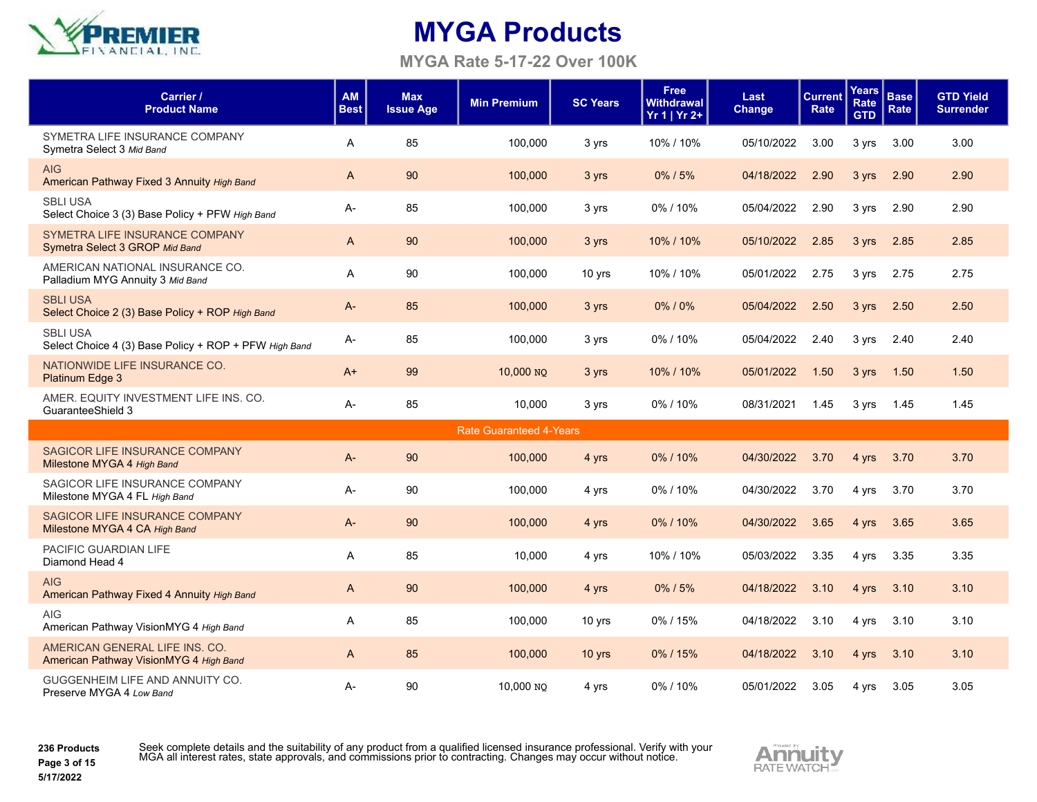

**MYGA Rate 5-17-22 Over 100K**

| Carrier /<br><b>Product Name</b>                                         | <b>AM</b><br><b>Best</b> | <b>Max</b><br><b>Issue Age</b> | <b>Min Premium</b>             | <b>SC Years</b> | <b>Free</b><br><b>Withdrawal</b><br>Yr 1   Yr 2+ | Last<br>Change | <b>Current</b><br>Rate | <b>Years</b><br>Rate<br><b>GTD</b> | <b>Base</b><br>Rate | <b>GTD Yield</b><br><b>Surrender</b> |
|--------------------------------------------------------------------------|--------------------------|--------------------------------|--------------------------------|-----------------|--------------------------------------------------|----------------|------------------------|------------------------------------|---------------------|--------------------------------------|
| SYMETRA LIFE INSURANCE COMPANY<br>Symetra Select 3 Mid Band              | A                        | 85                             | 100,000                        | 3 yrs           | 10% / 10%                                        | 05/10/2022     | 3.00                   | 3 yrs                              | 3.00                | 3.00                                 |
| <b>AIG</b><br>American Pathway Fixed 3 Annuity High Band                 | $\mathsf{A}$             | 90                             | 100,000                        | 3 yrs           | 0%/5%                                            | 04/18/2022     | 2.90                   | 3 yrs                              | 2.90                | 2.90                                 |
| <b>SBLI USA</b><br>Select Choice 3 (3) Base Policy + PFW High Band       | A-                       | 85                             | 100,000                        | 3 yrs           | 0%/10%                                           | 05/04/2022     | 2.90                   | 3 yrs                              | 2.90                | 2.90                                 |
| SYMETRA LIFE INSURANCE COMPANY<br>Symetra Select 3 GROP Mid Band         | A                        | 90                             | 100,000                        | 3 yrs           | 10% / 10%                                        | 05/10/2022     | 2.85                   | 3 yrs                              | 2.85                | 2.85                                 |
| AMERICAN NATIONAL INSURANCE CO.<br>Palladium MYG Annuity 3 Mid Band      | A                        | 90                             | 100,000                        | 10 yrs          | 10% / 10%                                        | 05/01/2022     | 2.75                   | 3 yrs                              | 2.75                | 2.75                                 |
| <b>SBLI USA</b><br>Select Choice 2 (3) Base Policy + ROP High Band       | A-                       | 85                             | 100,000                        | 3 yrs           | 0%/0%                                            | 05/04/2022     | 2.50                   | 3 yrs                              | 2.50                | 2.50                                 |
| <b>SBLI USA</b><br>Select Choice 4 (3) Base Policy + ROP + PFW High Band | A-                       | 85                             | 100.000                        | 3 yrs           | 0%/10%                                           | 05/04/2022     | 2.40                   | 3 yrs                              | 2.40                | 2.40                                 |
| NATIONWIDE LIFE INSURANCE CO.<br><b>Platinum Edge 3</b>                  | $A+$                     | 99                             | 10,000 NO                      | 3 yrs           | 10% / 10%                                        | 05/01/2022     | 1.50                   | 3 yrs                              | 1.50                | 1.50                                 |
| AMER. EQUITY INVESTMENT LIFE INS. CO.<br>GuaranteeShield 3               | A-                       | 85                             | 10.000                         | 3 yrs           | $0\%$ / 10%                                      | 08/31/2021     | 1.45                   | 3 yrs                              | 1.45                | 1.45                                 |
|                                                                          |                          |                                | <b>Rate Guaranteed 4-Years</b> |                 |                                                  |                |                        |                                    |                     |                                      |
| SAGICOR LIFE INSURANCE COMPANY<br>Milestone MYGA 4 High Band             | A-                       | 90                             | 100,000                        | 4 yrs           | 0%/10%                                           | 04/30/2022     | 3.70                   | 4 yrs                              | 3.70                | 3.70                                 |
| SAGICOR LIFE INSURANCE COMPANY<br>Milestone MYGA 4 FL High Band          | A-                       | 90                             | 100,000                        | 4 yrs           | 0%/10%                                           | 04/30/2022     | 3.70                   | 4 yrs                              | 3.70                | 3.70                                 |
| SAGICOR LIFE INSURANCE COMPANY<br>Milestone MYGA 4 CA High Band          | $A -$                    | 90                             | 100,000                        | 4 yrs           | 0%/10%                                           | 04/30/2022     | 3.65                   | 4 yrs                              | 3.65                | 3.65                                 |
| PACIFIC GUARDIAN LIFE<br>Diamond Head 4                                  | A                        | 85                             | 10,000                         | 4 yrs           | 10% / 10%                                        | 05/03/2022     | 3.35                   | 4 yrs                              | 3.35                | 3.35                                 |
| <b>AIG</b><br>American Pathway Fixed 4 Annuity High Band                 | A                        | 90                             | 100,000                        | 4 yrs           | $0\%$ / 5%                                       | 04/18/2022     | 3.10                   | 4 yrs                              | 3.10                | 3.10                                 |
| <b>AIG</b><br>American Pathway VisionMYG 4 High Band                     | A                        | 85                             | 100,000                        | 10 yrs          | 0%/15%                                           | 04/18/2022     | 3.10                   | 4 yrs                              | 3.10                | 3.10                                 |
| AMERICAN GENERAL LIFE INS. CO.<br>American Pathway VisionMYG 4 High Band | A                        | 85                             | 100,000                        | $10$ yrs        | 0%/15%                                           | 04/18/2022     | 3.10                   | 4 yrs                              | 3.10                | 3.10                                 |
| GUGGENHEIM LIFE AND ANNUITY CO.<br>Preserve MYGA 4 Low Band              | A-                       | 90                             | 10,000 NO                      | 4 yrs           | 0%/10%                                           | 05/01/2022     | 3.05                   | 4 yrs                              | 3.05                | 3.05                                 |

**236 Products Page 3 of 15**

Seek complete details and the suitability of any product from a qualified licensed insurance professional. Verify with your<br>MGA all interest rates, state approvals, and commissions prior to contracting. Changes may occur w

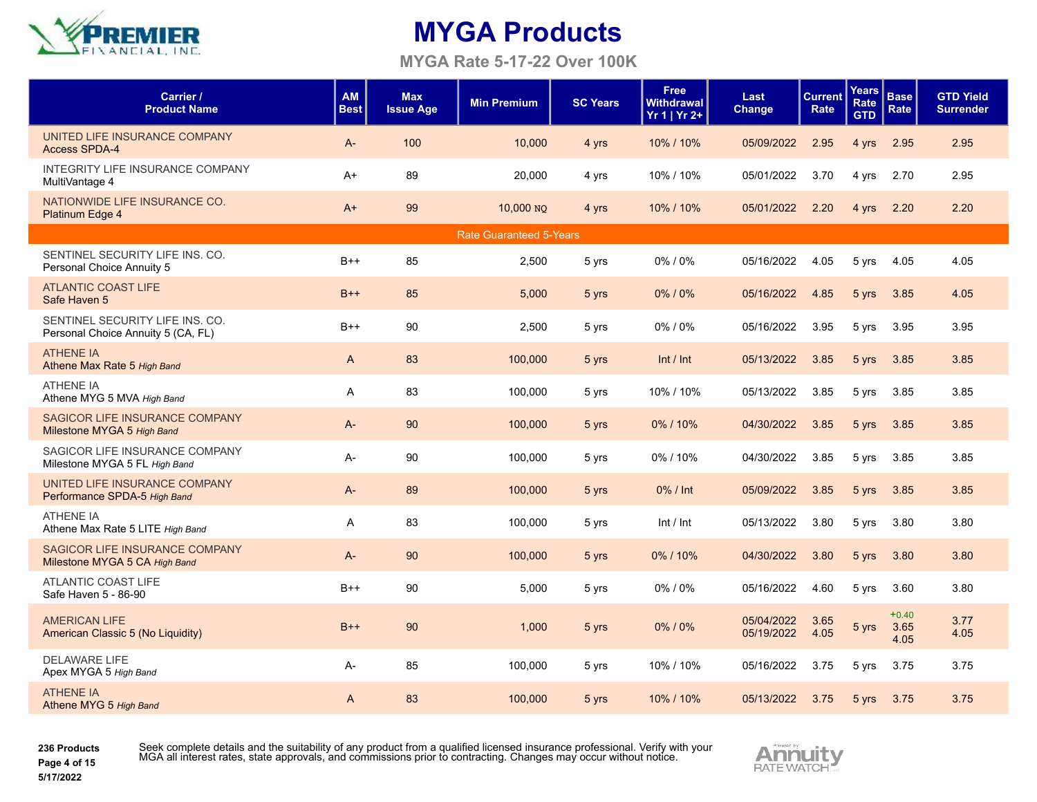

**MYGA Rate 5-17-22 Over 100K**

| Carrier /<br><b>Product Name</b>                                      | <b>AM</b><br><b>Best</b> | <b>Max</b><br><b>Issue Age</b> | <b>Min Premium</b>             | <b>SC Years</b> | <b>Free</b><br><b>Withdrawal</b><br>Yr 1   Yr 2+ | Last<br>Change           | <b>Current</b><br>Rate | <b>Years</b><br>Rate<br><b>GTD</b> | <b>Base</b><br>Rate     | <b>GTD Yield</b><br><b>Surrender</b> |
|-----------------------------------------------------------------------|--------------------------|--------------------------------|--------------------------------|-----------------|--------------------------------------------------|--------------------------|------------------------|------------------------------------|-------------------------|--------------------------------------|
| UNITED LIFE INSURANCE COMPANY<br><b>Access SPDA-4</b>                 | $A -$                    | 100                            | 10,000                         | 4 yrs           | 10% / 10%                                        | 05/09/2022               | 2.95                   | 4 yrs                              | 2.95                    | 2.95                                 |
| INTEGRITY LIFE INSURANCE COMPANY<br>MultiVantage 4                    | $A+$                     | 89                             | 20,000                         | 4 yrs           | 10% / 10%                                        | 05/01/2022               | 3.70                   | 4 yrs                              | 2.70                    | 2.95                                 |
| NATIONWIDE LIFE INSURANCE CO.<br>Platinum Edge 4                      | $A+$                     | 99                             | 10,000 NO                      | 4 yrs           | 10% / 10%                                        | 05/01/2022               | 2.20                   | 4 yrs                              | 2.20                    | 2.20                                 |
|                                                                       |                          |                                | <b>Rate Guaranteed 5-Years</b> |                 |                                                  |                          |                        |                                    |                         |                                      |
| SENTINEL SECURITY LIFE INS. CO.<br>Personal Choice Annuity 5          | $B++$                    | 85                             | 2,500                          | 5 yrs           | $0\%$ / $0\%$                                    | 05/16/2022               | 4.05                   | 5 yrs                              | 4.05                    | 4.05                                 |
| <b>ATLANTIC COAST LIFE</b><br>Safe Haven 5                            | $B++$                    | 85                             | 5,000                          | 5 yrs           | $0\%$ / $0\%$                                    | 05/16/2022               | 4.85                   | 5 yrs                              | 3.85                    | 4.05                                 |
| SENTINEL SECURITY LIFE INS. CO.<br>Personal Choice Annuity 5 (CA, FL) | $B++$                    | 90                             | 2,500                          | 5 yrs           | 0%/0%                                            | 05/16/2022               | 3.95                   | 5 yrs                              | 3.95                    | 3.95                                 |
| <b>ATHENE IA</b><br>Athene Max Rate 5 High Band                       | A                        | 83                             | 100,000                        | 5 yrs           | Int / Int                                        | 05/13/2022               | 3.85                   | 5 yrs                              | 3.85                    | 3.85                                 |
| <b>ATHENE IA</b><br>Athene MYG 5 MVA High Band                        | A                        | 83                             | 100,000                        | 5 yrs           | 10% / 10%                                        | 05/13/2022               | 3.85                   | 5 yrs                              | 3.85                    | 3.85                                 |
| SAGICOR LIFE INSURANCE COMPANY<br>Milestone MYGA 5 High Band          | $A-$                     | 90                             | 100,000                        | 5 yrs           | 0%/10%                                           | 04/30/2022               | 3.85                   | 5 yrs                              | 3.85                    | 3.85                                 |
| SAGICOR LIFE INSURANCE COMPANY<br>Milestone MYGA 5 FL High Band       | $A-$                     | 90                             | 100,000                        | 5 yrs           | 0%/10%                                           | 04/30/2022               | 3.85                   | 5 yrs                              | 3.85                    | 3.85                                 |
| UNITED LIFE INSURANCE COMPANY<br>Performance SPDA-5 High Band         | $A-$                     | 89                             | 100,000                        | 5 yrs           | 0% / Int                                         | 05/09/2022               | 3.85                   | 5 yrs                              | 3.85                    | 3.85                                 |
| <b>ATHENE IA</b><br>Athene Max Rate 5 LITE High Band                  | A                        | 83                             | 100,000                        | 5 yrs           | Int / Int                                        | 05/13/2022               | 3.80                   | 5 yrs                              | 3.80                    | 3.80                                 |
| SAGICOR LIFE INSURANCE COMPANY<br>Milestone MYGA 5 CA High Band       | $A -$                    | 90                             | 100,000                        | 5 yrs           | 0%/10%                                           | 04/30/2022               | 3.80                   | 5 yrs                              | 3.80                    | 3.80                                 |
| ATLANTIC COAST LIFE<br>Safe Haven 5 - 86-90                           | $B++$                    | 90                             | 5,000                          | 5 yrs           | 0%/0%                                            | 05/16/2022               | 4.60                   | 5 yrs                              | 3.60                    | 3.80                                 |
| <b>AMERICAN LIFE</b><br>American Classic 5 (No Liquidity)             | $B++$                    | 90                             | 1,000                          | 5 yrs           | 0%/0%                                            | 05/04/2022<br>05/19/2022 | 3.65<br>4.05           | 5 yrs                              | $+0.40$<br>3.65<br>4.05 | 3.77<br>4.05                         |
| <b>DELAWARE LIFE</b><br>Apex MYGA 5 High Band                         | A-                       | 85                             | 100,000                        | 5 yrs           | 10% / 10%                                        | 05/16/2022               | 3.75                   | 5 yrs                              | 3.75                    | 3.75                                 |
| <b>ATHENE IA</b><br>Athene MYG 5 High Band                            | A                        | 83                             | 100,000                        | 5 yrs           | 10% / 10%                                        | 05/13/2022               | 3.75                   | 5 yrs                              | 3.75                    | 3.75                                 |

**236 Products Page 4 of 15**

Seek complete details and the suitability of any product from a qualified licensed insurance professional. Verify with your<br>MGA all interest rates, state approvals, and commissions prior to contracting. Changes may occur w

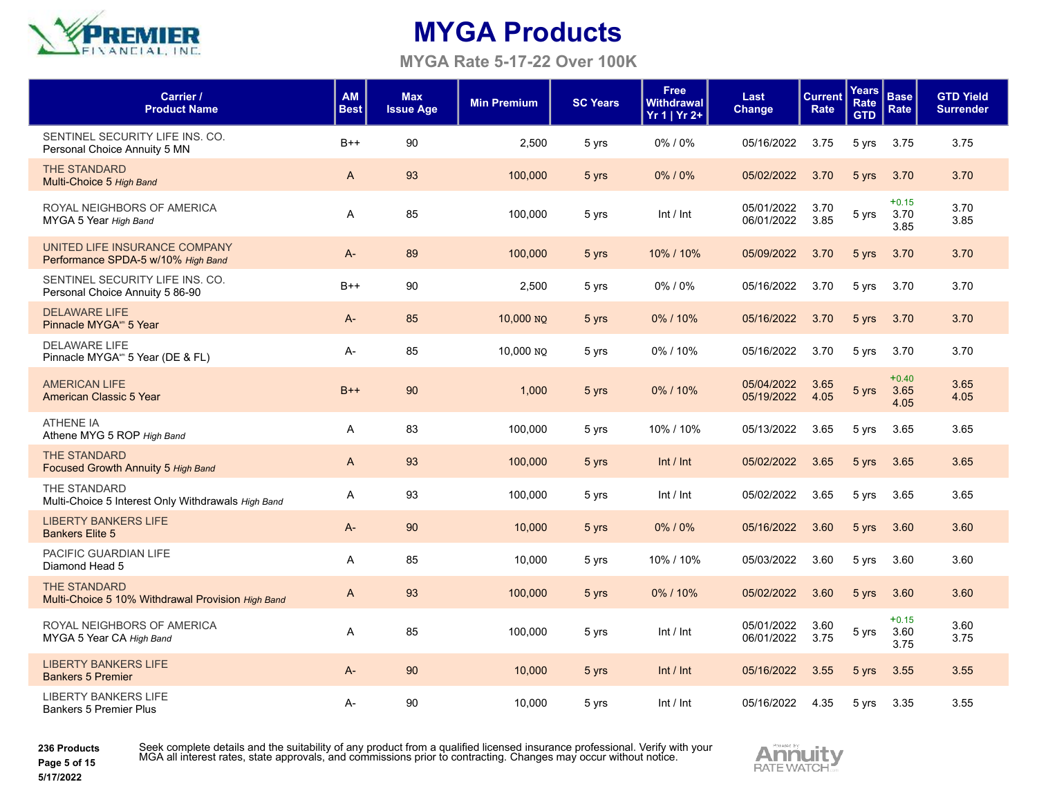

**MYGA Rate 5-17-22 Over 100K**

| Carrier /<br><b>Product Name</b>                                         | <b>AM</b><br><b>Best</b> | <b>Max</b><br><b>Issue Age</b> | <b>Min Premium</b> | <b>SC Years</b> | <b>Free</b><br><b>Withdrawal</b><br>Yr 1   Yr 2+ | Last<br>Change           | <b>Current</b><br>Rate | Years<br>Rate<br><b>GTD</b> | <b>Base</b><br>Rate     | <b>GTD Yield</b><br><b>Surrender</b> |
|--------------------------------------------------------------------------|--------------------------|--------------------------------|--------------------|-----------------|--------------------------------------------------|--------------------------|------------------------|-----------------------------|-------------------------|--------------------------------------|
| SENTINEL SECURITY LIFE INS. CO.<br>Personal Choice Annuity 5 MN          | $B++$                    | 90                             | 2,500              | 5 yrs           | 0%/0%                                            | 05/16/2022               | 3.75                   | 5 yrs                       | 3.75                    | 3.75                                 |
| <b>THE STANDARD</b><br>Multi-Choice 5 High Band                          | A                        | 93                             | 100,000            | 5 yrs           | 0%/0%                                            | 05/02/2022               | 3.70                   | 5 yrs                       | 3.70                    | 3.70                                 |
| ROYAL NEIGHBORS OF AMERICA<br>MYGA 5 Year High Band                      | A                        | 85                             | 100,000            | 5 yrs           | Int / Int                                        | 05/01/2022<br>06/01/2022 | 3.70<br>3.85           | 5 yrs                       | $+0.15$<br>3.70<br>3.85 | 3.70<br>3.85                         |
| UNITED LIFE INSURANCE COMPANY<br>Performance SPDA-5 w/10% High Band      | $A -$                    | 89                             | 100,000            | 5 yrs           | 10% / 10%                                        | 05/09/2022               | 3.70                   | 5 yrs                       | 3.70                    | 3.70                                 |
| SENTINEL SECURITY LIFE INS. CO.<br>Personal Choice Annuity 5 86-90       | $B++$                    | 90                             | 2,500              | 5 yrs           | 0%/0%                                            | 05/16/2022               | 3.70                   | 5 yrs                       | 3.70                    | 3.70                                 |
| <b>DELAWARE LIFE</b><br>Pinnacle MYGA <sup>sm</sup> 5 Year               | A-                       | 85                             | 10,000 NO          | 5 yrs           | 0%/10%                                           | 05/16/2022               | 3.70                   | 5 yrs                       | 3.70                    | 3.70                                 |
| <b>DELAWARE LIFE</b><br>Pinnacle MYGA <sup>sm</sup> 5 Year (DE & FL)     | A-                       | 85                             | 10,000 NO          | 5 yrs           | 0%/10%                                           | 05/16/2022               | 3.70                   | 5 yrs                       | 3.70                    | 3.70                                 |
| <b>AMERICAN LIFE</b><br>American Classic 5 Year                          | $B++$                    | 90                             | 1,000              | 5 yrs           | 0%/10%                                           | 05/04/2022<br>05/19/2022 | 3.65<br>4.05           | 5 yrs                       | $+0.40$<br>3.65<br>4.05 | 3.65<br>4.05                         |
| <b>ATHENE IA</b><br>Athene MYG 5 ROP High Band                           | A                        | 83                             | 100,000            | 5 yrs           | 10% / 10%                                        | 05/13/2022               | 3.65                   | 5 yrs                       | 3.65                    | 3.65                                 |
| <b>THE STANDARD</b><br>Focused Growth Annuity 5 High Band                | A                        | 93                             | 100,000            | 5 yrs           | Int / Int                                        | 05/02/2022               | 3.65                   | 5 yrs                       | 3.65                    | 3.65                                 |
| THE STANDARD<br>Multi-Choice 5 Interest Only Withdrawals High Band       | A                        | 93                             | 100,000            | 5 yrs           | Int / Int                                        | 05/02/2022               | 3.65                   | 5 yrs                       | 3.65                    | 3.65                                 |
| <b>LIBERTY BANKERS LIFE</b><br><b>Bankers Elite 5</b>                    | $A-$                     | 90                             | 10,000             | 5 yrs           | $0\%$ / $0\%$                                    | 05/16/2022               | 3.60                   | 5 yrs                       | 3.60                    | 3.60                                 |
| PACIFIC GUARDIAN LIFE<br>Diamond Head 5                                  | A                        | 85                             | 10,000             | 5 yrs           | 10% / 10%                                        | 05/03/2022               | 3.60                   | 5 yrs                       | 3.60                    | 3.60                                 |
| <b>THE STANDARD</b><br>Multi-Choice 5 10% Withdrawal Provision High Band | A                        | 93                             | 100,000            | 5 yrs           | 0%/10%                                           | 05/02/2022               | 3.60                   | 5 yrs                       | 3.60                    | 3.60                                 |
| ROYAL NEIGHBORS OF AMERICA<br>MYGA 5 Year CA High Band                   | A                        | 85                             | 100,000            | 5 yrs           | Int / Int                                        | 05/01/2022<br>06/01/2022 | 3.60<br>3.75           | 5 yrs                       | $+0.15$<br>3.60<br>3.75 | 3.60<br>3.75                         |
| <b>LIBERTY BANKERS LIFE</b><br><b>Bankers 5 Premier</b>                  | A-                       | 90                             | 10,000             | 5 yrs           | Int / Int                                        | 05/16/2022               | 3.55                   | 5 yrs                       | 3.55                    | 3.55                                 |
| <b>LIBERTY BANKERS LIFE</b><br><b>Bankers 5 Premier Plus</b>             | A-                       | 90                             | 10,000             | 5 yrs           | Int / Int                                        | 05/16/2022               | 4.35                   | 5 yrs                       | 3.35                    | 3.55                                 |

**236 Products**



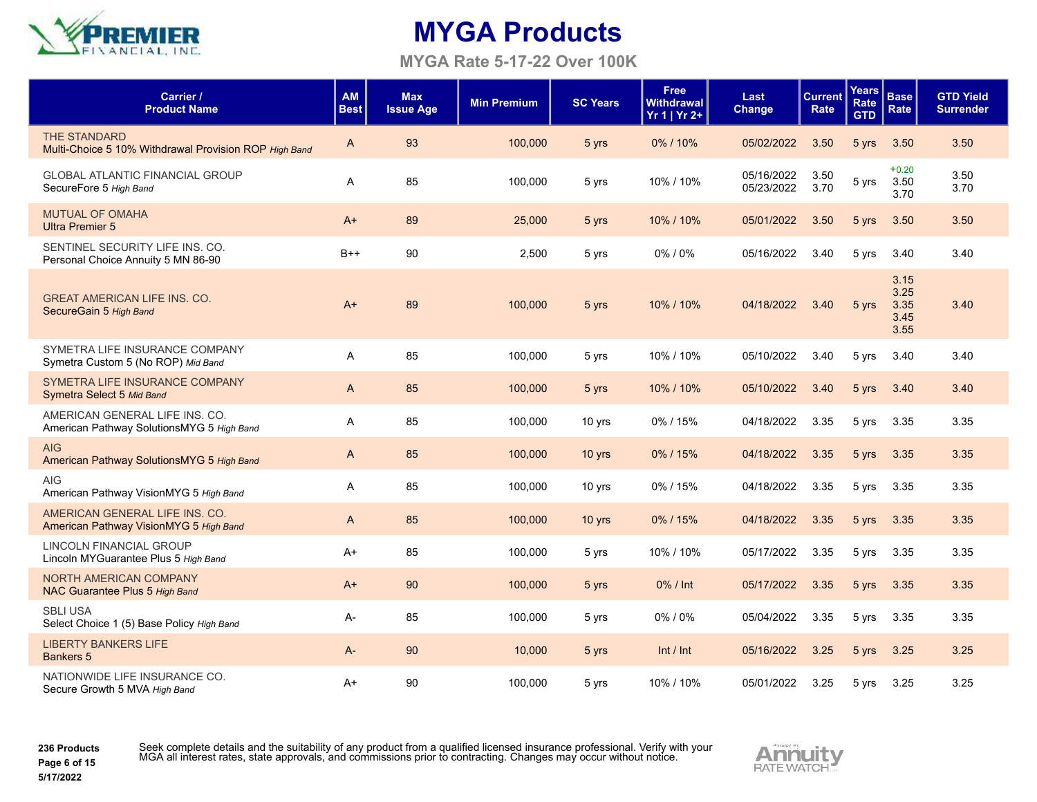

**MYGA Rate 5-17-22 Over 100K**

| Carrier /<br><b>Product Name</b>                                             | AM<br><b>Best</b> | <b>Max</b><br><b>Issue Age</b> | <b>Min Premium</b> | <b>SC Years</b> | <b>Free</b><br><b>Withdrawal</b><br>$Yr 1   Yr 2+$ | Last<br>Change           | <b>Current</b><br>Rate | Years<br>Rate<br><b>GTD</b> | <b>Base</b><br>Rate                  | <b>GTD Yield</b><br><b>Surrender</b> |
|------------------------------------------------------------------------------|-------------------|--------------------------------|--------------------|-----------------|----------------------------------------------------|--------------------------|------------------------|-----------------------------|--------------------------------------|--------------------------------------|
| <b>THE STANDARD</b><br>Multi-Choice 5 10% Withdrawal Provision ROP High Band | A                 | 93                             | 100,000            | 5 yrs           | 0%/10%                                             | 05/02/2022               | 3.50                   | 5 yrs                       | 3.50                                 | 3.50                                 |
| <b>GLOBAL ATLANTIC FINANCIAL GROUP</b><br>SecureFore 5 High Band             | A                 | 85                             | 100,000            | 5 yrs           | 10% / 10%                                          | 05/16/2022<br>05/23/2022 | 3.50<br>3.70           | 5 yrs                       | $+0.20$<br>3.50<br>3.70              | 3.50<br>3.70                         |
| <b>MUTUAL OF OMAHA</b><br><b>Ultra Premier 5</b>                             | $A+$              | 89                             | 25,000             | 5 yrs           | 10% / 10%                                          | 05/01/2022               | 3.50                   | 5 yrs                       | 3.50                                 | 3.50                                 |
| SENTINEL SECURITY LIFE INS. CO.<br>Personal Choice Annuity 5 MN 86-90        | $B++$             | 90                             | 2.500              | 5 yrs           | $0\%$ / $0\%$                                      | 05/16/2022               | 3.40                   | 5 yrs                       | 3.40                                 | 3.40                                 |
| <b>GREAT AMERICAN LIFE INS. CO.</b><br>SecureGain 5 High Band                | $A+$              | 89                             | 100,000            | 5 yrs           | 10% / 10%                                          | 04/18/2022               | 3.40                   | 5 yrs                       | 3.15<br>3.25<br>3.35<br>3.45<br>3.55 | 3.40                                 |
| SYMETRA LIFE INSURANCE COMPANY<br>Symetra Custom 5 (No ROP) Mid Band         | A                 | 85                             | 100,000            | 5 yrs           | 10% / 10%                                          | 05/10/2022               | 3.40                   | 5 yrs                       | 3.40                                 | 3.40                                 |
| SYMETRA LIFE INSURANCE COMPANY<br>Symetra Select 5 Mid Band                  | A                 | 85                             | 100,000            | 5 yrs           | 10% / 10%                                          | 05/10/2022               | 3.40                   | 5 yrs                       | 3.40                                 | 3.40                                 |
| AMERICAN GENERAL LIFE INS. CO.<br>American Pathway SolutionsMYG 5 High Band  | A                 | 85                             | 100,000            | 10 yrs          | $0\%$ / 15%                                        | 04/18/2022               | 3.35                   | 5 yrs                       | 3.35                                 | 3.35                                 |
| <b>AIG</b><br>American Pathway SolutionsMYG 5 High Band                      | A                 | 85                             | 100,000            | $10$ yrs        | 0%/15%                                             | 04/18/2022               | 3.35                   | 5 yrs                       | 3.35                                 | 3.35                                 |
| <b>AIG</b><br>American Pathway VisionMYG 5 High Band                         | A                 | 85                             | 100,000            | 10 yrs          | 0%/15%                                             | 04/18/2022               | 3.35                   | 5 yrs                       | 3.35                                 | 3.35                                 |
| AMERICAN GENERAL LIFE INS. CO.<br>American Pathway VisionMYG 5 High Band     | A                 | 85                             | 100,000            | $10$ yrs        | 0%/15%                                             | 04/18/2022               | 3.35                   | 5 yrs                       | 3.35                                 | 3.35                                 |
| LINCOLN FINANCIAL GROUP<br>Lincoln MYGuarantee Plus 5 High Band              | $A+$              | 85                             | 100,000            | 5 yrs           | 10% / 10%                                          | 05/17/2022               | 3.35                   | 5 yrs                       | 3.35                                 | 3.35                                 |
| <b>NORTH AMERICAN COMPANY</b><br>NAC Guarantee Plus 5 High Band              | $A+$              | 90                             | 100,000            | 5 yrs           | 0% / Int                                           | 05/17/2022               | 3.35                   | 5 yrs                       | 3.35                                 | 3.35                                 |
| <b>SBLI USA</b><br>Select Choice 1 (5) Base Policy High Band                 | A-                | 85                             | 100,000            | 5 yrs           | $0\%$ / $0\%$                                      | 05/04/2022               | 3.35                   | 5 yrs                       | 3.35                                 | 3.35                                 |
| <b>LIBERTY BANKERS LIFE</b><br><b>Bankers 5</b>                              | A-                | 90                             | 10,000             | 5 yrs           | Int / Int                                          | 05/16/2022               | 3.25                   | 5 yrs                       | 3.25                                 | 3.25                                 |
| NATIONWIDE LIFE INSURANCE CO.<br>Secure Growth 5 MVA High Band               | A+                | 90                             | 100.000            | 5 yrs           | 10% / 10%                                          | 05/01/2022               | 3.25                   | 5 yrs                       | 3.25                                 | 3.25                                 |

**236 Products Page 6 of 15**

Seek complete details and the suitability of any product from a qualified licensed insurance professional. Verify with your<br>MGA all interest rates, state approvals, and commissions prior to contracting. Changes may occur w

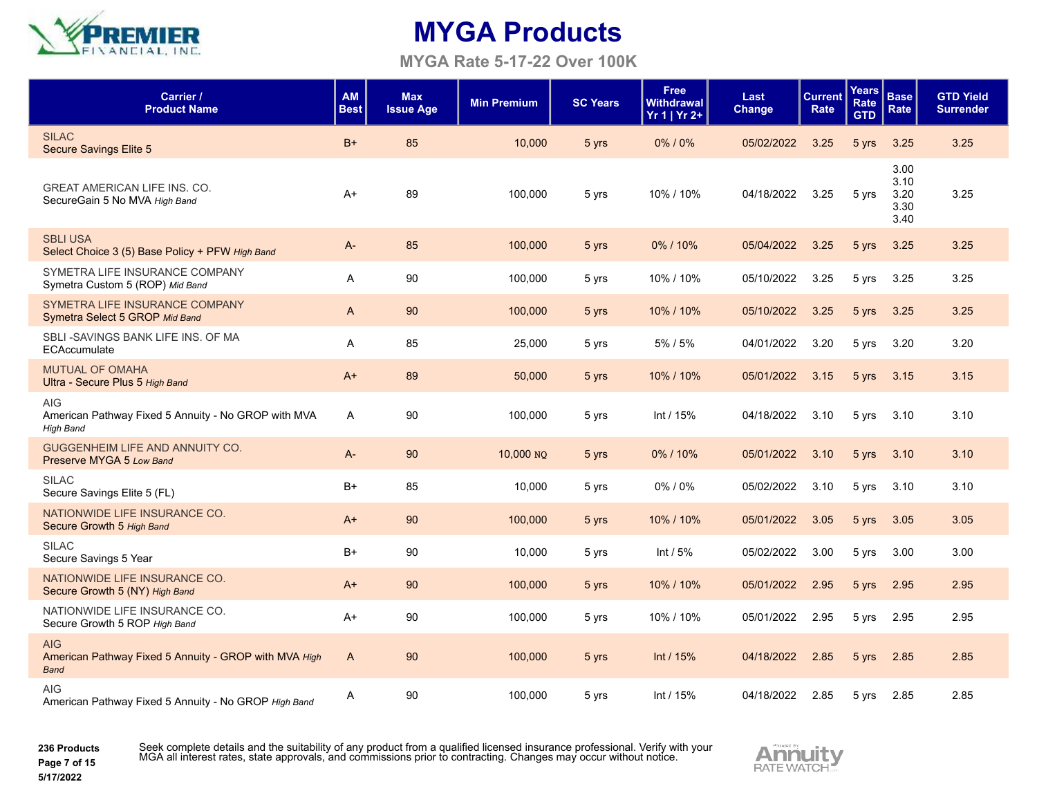

#### **MYGA Rate 5-17-22 Over 100K**

| Carrier /<br><b>Product Name</b>                                                      | <b>AM</b><br><b>Best</b> | <b>Max</b><br><b>Issue Age</b> | <b>Min Premium</b> | <b>SC Years</b> | <b>Free</b><br><b>Withdrawal</b><br>$Yr 1   Yr 2+$ | Last<br><b>Change</b> | <b>Current</b><br>Rate | Years<br><b>Rate</b><br><b>GTD</b> | <b>Base</b><br>Rate                  | <b>GTD Yield</b><br><b>Surrender</b> |
|---------------------------------------------------------------------------------------|--------------------------|--------------------------------|--------------------|-----------------|----------------------------------------------------|-----------------------|------------------------|------------------------------------|--------------------------------------|--------------------------------------|
| <b>SILAC</b><br><b>Secure Savings Elite 5</b>                                         | $B+$                     | 85                             | 10,000             | 5 yrs           | 0%/0%                                              | 05/02/2022            | 3.25                   | 5 yrs                              | 3.25                                 | 3.25                                 |
| <b>GREAT AMERICAN LIFE INS. CO.</b><br>SecureGain 5 No MVA High Band                  | $A+$                     | 89                             | 100,000            | 5 yrs           | 10% / 10%                                          | 04/18/2022            | 3.25                   | 5 yrs                              | 3.00<br>3.10<br>3.20<br>3.30<br>3.40 | 3.25                                 |
| <b>SBLI USA</b><br>Select Choice 3 (5) Base Policy + PFW High Band                    | A-                       | 85                             | 100,000            | 5 yrs           | 0%/10%                                             | 05/04/2022            | 3.25                   | 5 yrs                              | 3.25                                 | 3.25                                 |
| SYMETRA LIFE INSURANCE COMPANY<br>Symetra Custom 5 (ROP) Mid Band                     | A                        | 90                             | 100,000            | 5 yrs           | 10% / 10%                                          | 05/10/2022            | 3.25                   | 5 yrs                              | 3.25                                 | 3.25                                 |
| SYMETRA LIFE INSURANCE COMPANY<br>Symetra Select 5 GROP Mid Band                      | $\mathsf{A}$             | 90                             | 100,000            | 5 yrs           | 10% / 10%                                          | 05/10/2022            | 3.25                   | 5 yrs                              | 3.25                                 | 3.25                                 |
| SBLI-SAVINGS BANK LIFE INS. OF MA<br>ECAccumulate                                     | A                        | 85                             | 25,000             | 5 yrs           | 5%/5%                                              | 04/01/2022            | 3.20                   | 5 yrs                              | 3.20                                 | 3.20                                 |
| <b>MUTUAL OF OMAHA</b><br>Ultra - Secure Plus 5 High Band                             | $A+$                     | 89                             | 50,000             | 5 yrs           | 10% / 10%                                          | 05/01/2022            | 3.15                   | 5 yrs                              | 3.15                                 | 3.15                                 |
| <b>AIG</b><br>American Pathway Fixed 5 Annuity - No GROP with MVA<br><b>High Band</b> | $\mathsf{A}$             | 90                             | 100,000            | 5 yrs           | Int / $15%$                                        | 04/18/2022            | 3.10                   | 5 yrs                              | 3.10                                 | 3.10                                 |
| GUGGENHEIM LIFE AND ANNUITY CO.<br>Preserve MYGA 5 Low Band                           | $A -$                    | 90                             | 10,000 NO          | 5 yrs           | 0%/10%                                             | 05/01/2022            | 3.10                   | 5 yrs                              | 3.10                                 | 3.10                                 |
| <b>SILAC</b><br>Secure Savings Elite 5 (FL)                                           | B+                       | 85                             | 10,000             | 5 yrs           | 0%/0%                                              | 05/02/2022            | 3.10                   | 5 yrs                              | 3.10                                 | 3.10                                 |
| NATIONWIDE LIFE INSURANCE CO.<br>Secure Growth 5 High Band                            | $A+$                     | 90                             | 100,000            | 5 yrs           | 10% / 10%                                          | 05/01/2022            | 3.05                   | 5 yrs                              | 3.05                                 | 3.05                                 |
| <b>SILAC</b><br>Secure Savings 5 Year                                                 | $B+$                     | 90                             | 10,000             | 5 yrs           | Int $/5%$                                          | 05/02/2022            | 3.00                   | 5 yrs                              | 3.00                                 | 3.00                                 |
| NATIONWIDE LIFE INSURANCE CO.<br>Secure Growth 5 (NY) High Band                       | $A+$                     | 90                             | 100,000            | 5 yrs           | 10% / 10%                                          | 05/01/2022            | 2.95                   | 5 yrs                              | 2.95                                 | 2.95                                 |
| NATIONWIDE LIFE INSURANCE CO.<br>Secure Growth 5 ROP High Band                        | $A+$                     | 90                             | 100,000            | 5 yrs           | 10% / 10%                                          | 05/01/2022            | 2.95                   | 5 yrs                              | 2.95                                 | 2.95                                 |
| <b>AIG</b><br>American Pathway Fixed 5 Annuity - GROP with MVA High<br><b>Band</b>    | $\mathsf{A}$             | 90                             | 100,000            | 5 yrs           | Int $/15%$                                         | 04/18/2022            | 2.85                   | 5 yrs                              | 2.85                                 | 2.85                                 |
| <b>AIG</b><br>American Pathway Fixed 5 Annuity - No GROP High Band                    | Α                        | 90                             | 100,000            | 5 yrs           | Int $/15%$                                         | 04/18/2022            | 2.85                   | 5 yrs                              | 2.85                                 | 2.85                                 |

**236 Products Page 7 of 15**

Seek complete details and the suitability of any product from a qualified licensed insurance professional. Verify with your<br>MGA all interest rates, state approvals, and commissions prior to contracting. Changes may occur w

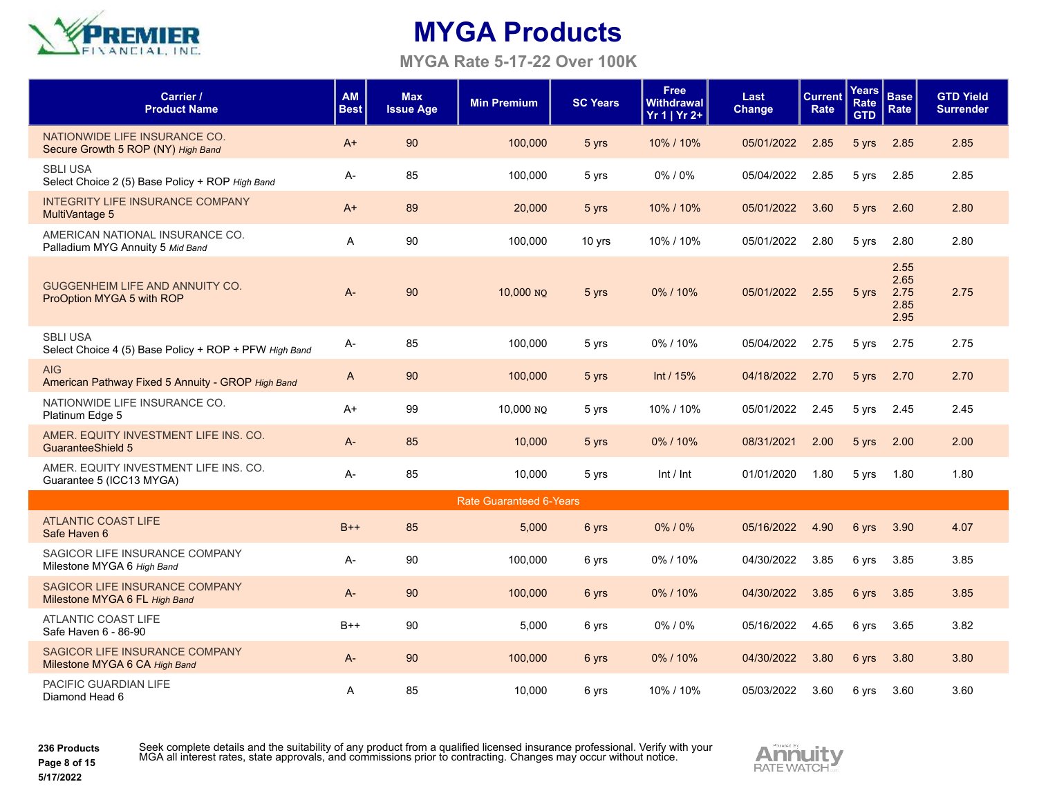

**MYGA Rate 5-17-22 Over 100K**

| Carrier /<br><b>Product Name</b>                                         | <b>AM</b><br><b>Best</b> | <b>Max</b><br><b>Issue Age</b> | <b>Min Premium</b>             | <b>SC Years</b> | <b>Free</b><br><b>Withdrawal</b><br>$Yr 1   Yr 2+$ | Last<br>Change | <b>Current</b><br>Rate | <b>Years</b><br>Rate<br><b>GTD</b> | <b>Base</b><br>Rate                  | <b>GTD Yield</b><br><b>Surrender</b> |
|--------------------------------------------------------------------------|--------------------------|--------------------------------|--------------------------------|-----------------|----------------------------------------------------|----------------|------------------------|------------------------------------|--------------------------------------|--------------------------------------|
| NATIONWIDE LIFE INSURANCE CO.<br>Secure Growth 5 ROP (NY) High Band      | $A+$                     | 90                             | 100,000                        | 5 yrs           | 10% / 10%                                          | 05/01/2022     | 2.85                   | 5 yrs                              | 2.85                                 | 2.85                                 |
| <b>SBLI USA</b><br>Select Choice 2 (5) Base Policy + ROP High Band       | A-                       | 85                             | 100,000                        | 5 yrs           | 0%/0%                                              | 05/04/2022     | 2.85                   | 5 yrs                              | 2.85                                 | 2.85                                 |
| <b>INTEGRITY LIFE INSURANCE COMPANY</b><br>MultiVantage 5                | $A+$                     | 89                             | 20,000                         | 5 yrs           | 10% / 10%                                          | 05/01/2022     | 3.60                   | 5 yrs                              | 2.60                                 | 2.80                                 |
| AMERICAN NATIONAL INSURANCE CO.<br>Palladium MYG Annuity 5 Mid Band      | A                        | 90                             | 100,000                        | 10 yrs          | 10% / 10%                                          | 05/01/2022     | 2.80                   | 5 yrs                              | 2.80                                 | 2.80                                 |
| GUGGENHEIM LIFE AND ANNUITY CO.<br>ProOption MYGA 5 with ROP             | $A -$                    | 90                             | 10,000 NO                      | 5 yrs           | 0%/10%                                             | 05/01/2022     | 2.55                   | 5 yrs                              | 2.55<br>2.65<br>2.75<br>2.85<br>2.95 | 2.75                                 |
| <b>SBLI USA</b><br>Select Choice 4 (5) Base Policy + ROP + PFW High Band | А-                       | 85                             | 100,000                        | 5 yrs           | 0%/10%                                             | 05/04/2022     | 2.75                   | 5 yrs                              | 2.75                                 | 2.75                                 |
| <b>AIG</b><br>American Pathway Fixed 5 Annuity - GROP High Band          | A                        | 90                             | 100,000                        | 5 yrs           | Int / 15%                                          | 04/18/2022     | 2.70                   | 5 yrs                              | 2.70                                 | 2.70                                 |
| NATIONWIDE LIFE INSURANCE CO.<br>Platinum Edge 5                         | $A+$                     | 99                             | 10,000 NO                      | 5 yrs           | 10% / 10%                                          | 05/01/2022     | 2.45                   | 5 yrs                              | 2.45                                 | 2.45                                 |
| AMER. EQUITY INVESTMENT LIFE INS. CO.<br><b>GuaranteeShield 5</b>        | A-                       | 85                             | 10,000                         | 5 yrs           | $0\%$ / 10%                                        | 08/31/2021     | 2.00                   | 5 yrs                              | 2.00                                 | 2.00                                 |
| AMER. EQUITY INVESTMENT LIFE INS. CO.<br>Guarantee 5 (ICC13 MYGA)        | A-                       | 85                             | 10,000                         | 5 yrs           | Int / Int                                          | 01/01/2020     | 1.80                   | 5 yrs                              | 1.80                                 | 1.80                                 |
|                                                                          |                          |                                | <b>Rate Guaranteed 6-Years</b> |                 |                                                    |                |                        |                                    |                                      |                                      |
| <b>ATLANTIC COAST LIFE</b><br>Safe Haven 6                               | $B++$                    | 85                             | 5,000                          | 6 yrs           | $0\%$ / $0\%$                                      | 05/16/2022     | 4.90                   | 6 yrs                              | 3.90                                 | 4.07                                 |
| SAGICOR LIFE INSURANCE COMPANY<br>Milestone MYGA 6 High Band             | A-                       | 90                             | 100,000                        | 6 yrs           | 0%/10%                                             | 04/30/2022     | 3.85                   | 6 yrs                              | 3.85                                 | 3.85                                 |
| SAGICOR LIFE INSURANCE COMPANY<br>Milestone MYGA 6 FL High Band          | $A -$                    | 90                             | 100,000                        | 6 yrs           | 0%/10%                                             | 04/30/2022     | 3.85                   | 6 yrs                              | 3.85                                 | 3.85                                 |
| <b>ATLANTIC COAST LIFE</b><br>Safe Haven 6 - 86-90                       | $B++$                    | 90                             | 5,000                          | 6 yrs           | 0%/0%                                              | 05/16/2022     | 4.65                   | 6 yrs                              | 3.65                                 | 3.82                                 |
| SAGICOR LIFE INSURANCE COMPANY<br>Milestone MYGA 6 CA High Band          | $A -$                    | 90                             | 100,000                        | 6 yrs           | 0%/10%                                             | 04/30/2022     | 3.80                   | 6 yrs                              | 3.80                                 | 3.80                                 |
| PACIFIC GUARDIAN LIFE<br>Diamond Head 6                                  | A                        | 85                             | 10.000                         | 6 yrs           | 10% / 10%                                          | 05/03/2022     | 3.60                   | 6 yrs                              | 3.60                                 | 3.60                                 |

**236 Products Page 8 of 15**

**5/17/2022**

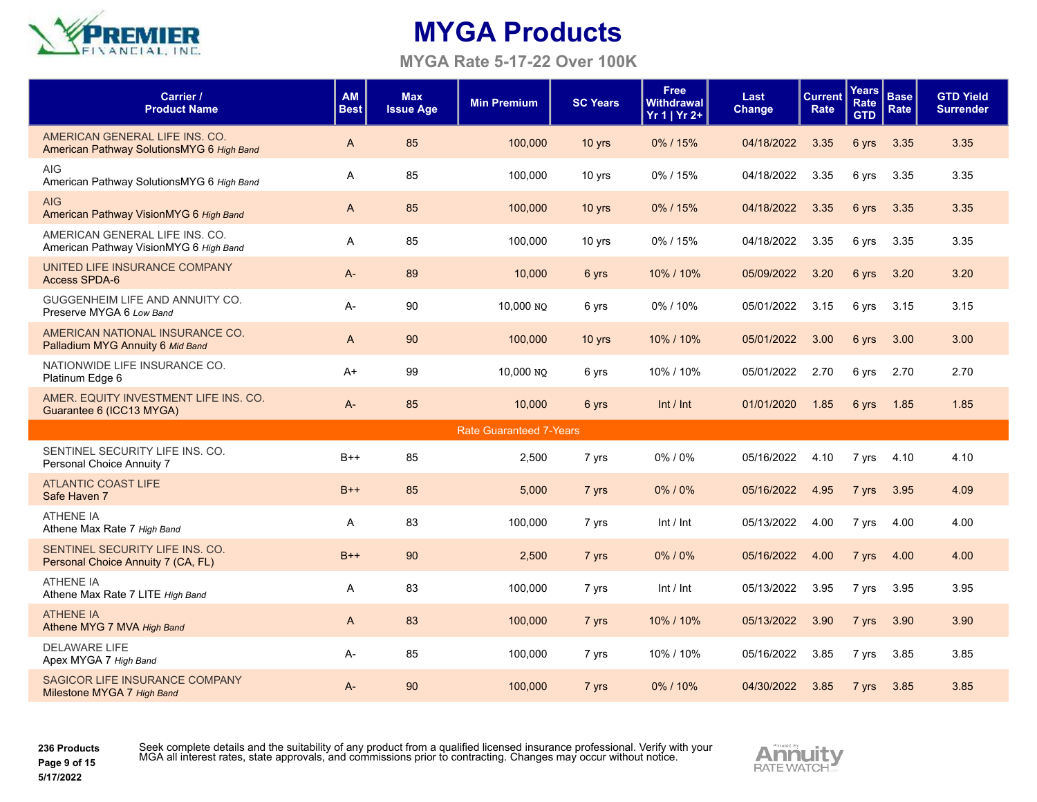

**MYGA Rate 5-17-22 Over 100K**

| Carrier /<br><b>Product Name</b>                                            | <b>AM</b><br><b>Best</b> | <b>Max</b><br><b>Issue Age</b> | <b>Min Premium</b>             | <b>SC Years</b> | <b>Free</b><br>Withdrawal<br>$Yr 1   Yr 2+$ | Last<br>Change | <b>Current</b><br>Rate | Years<br>Rate<br><b>GTD</b> | <b>Base</b><br>Rate | <b>GTD Yield</b><br><b>Surrender</b> |
|-----------------------------------------------------------------------------|--------------------------|--------------------------------|--------------------------------|-----------------|---------------------------------------------|----------------|------------------------|-----------------------------|---------------------|--------------------------------------|
| AMERICAN GENERAL LIFE INS. CO.<br>American Pathway SolutionsMYG 6 High Band | A                        | 85                             | 100,000                        | $10$ yrs        | 0%/15%                                      | 04/18/2022     | 3.35                   | 6 yrs                       | 3.35                | 3.35                                 |
| <b>AIG</b><br>American Pathway SolutionsMYG 6 High Band                     | A                        | 85                             | 100,000                        | 10 yrs          | 0%/15%                                      | 04/18/2022     | 3.35                   | 6 yrs                       | 3.35                | 3.35                                 |
| <b>AIG</b><br>American Pathway VisionMYG 6 High Band                        | $\mathsf{A}$             | 85                             | 100,000                        | $10$ yrs        | 0%/15%                                      | 04/18/2022     | 3.35                   | 6 yrs                       | 3.35                | 3.35                                 |
| AMERICAN GENERAL LIFE INS. CO.<br>American Pathway VisionMYG 6 High Band    | A                        | 85                             | 100,000                        | 10 yrs          | 0%/15%                                      | 04/18/2022     | 3.35                   | 6 yrs                       | 3.35                | 3.35                                 |
| UNITED LIFE INSURANCE COMPANY<br><b>Access SPDA-6</b>                       | $A -$                    | 89                             | 10,000                         | 6 yrs           | 10% / 10%                                   | 05/09/2022     | 3.20                   | 6 yrs                       | 3.20                | 3.20                                 |
| GUGGENHEIM LIFE AND ANNUITY CO.<br>Preserve MYGA 6 Low Band                 | A-                       | 90                             | 10,000 NO                      | 6 yrs           | 0%/10%                                      | 05/01/2022     | 3.15                   | 6 yrs                       | 3.15                | 3.15                                 |
| AMERICAN NATIONAL INSURANCE CO.<br>Palladium MYG Annuity 6 Mid Band         | $\mathsf{A}$             | 90                             | 100,000                        | $10$ yrs        | 10% / 10%                                   | 05/01/2022     | 3.00                   | 6 yrs                       | 3.00                | 3.00                                 |
| NATIONWIDE LIFE INSURANCE CO.<br>Platinum Edge 6                            | $A+$                     | 99                             | 10,000 NO                      | 6 yrs           | 10% / 10%                                   | 05/01/2022     | 2.70                   | 6 yrs                       | 2.70                | 2.70                                 |
| AMER. EQUITY INVESTMENT LIFE INS. CO.<br>Guarantee 6 (ICC13 MYGA)           | A-                       | 85                             | 10,000                         | 6 yrs           | Int / Int                                   | 01/01/2020     | 1.85                   | 6 yrs                       | 1.85                | 1.85                                 |
|                                                                             |                          |                                | <b>Rate Guaranteed 7-Years</b> |                 |                                             |                |                        |                             |                     |                                      |
| SENTINEL SECURITY LIFE INS. CO.<br>Personal Choice Annuity 7                | B++                      | 85                             | 2,500                          | 7 yrs           | 0%/0%                                       | 05/16/2022     | 4.10                   | 7 yrs                       | 4.10                | 4.10                                 |
| <b>ATLANTIC COAST LIFE</b><br>Safe Haven 7                                  | $B++$                    | 85                             | 5,000                          | 7 yrs           | 0%/0%                                       | 05/16/2022     | 4.95                   | 7 yrs                       | 3.95                | 4.09                                 |
| <b>ATHENE IA</b><br>Athene Max Rate 7 High Band                             | A                        | 83                             | 100.000                        | 7 yrs           | Int / Int                                   | 05/13/2022     | 4.00                   | 7 yrs                       | 4.00                | 4.00                                 |
| SENTINEL SECURITY LIFE INS. CO.<br>Personal Choice Annuity 7 (CA, FL)       | $B++$                    | 90                             | 2,500                          | 7 yrs           | 0%/0%                                       | 05/16/2022     | 4.00                   | 7 yrs                       | 4.00                | 4.00                                 |
| <b>ATHENE IA</b><br>Athene Max Rate 7 LITE High Band                        | A                        | 83                             | 100,000                        | 7 yrs           | Int / Int                                   | 05/13/2022     | 3.95                   | 7 yrs                       | 3.95                | 3.95                                 |
| <b>ATHENE IA</b><br>Athene MYG 7 MVA High Band                              | $\mathsf{A}$             | 83                             | 100,000                        | 7 yrs           | 10% / 10%                                   | 05/13/2022     | 3.90                   | 7 yrs                       | 3.90                | 3.90                                 |
| <b>DELAWARE LIFE</b><br>Apex MYGA 7 High Band                               | A-                       | 85                             | 100,000                        | 7 yrs           | 10% / 10%                                   | 05/16/2022     | 3.85                   | 7 yrs                       | 3.85                | 3.85                                 |
| SAGICOR LIFE INSURANCE COMPANY<br>Milestone MYGA 7 High Band                | A-                       | 90                             | 100,000                        | 7 yrs           | 0%/10%                                      | 04/30/2022     | 3.85                   | 7 yrs                       | 3.85                | 3.85                                 |

**236 Products Page 9 of 15**

**5/17/2022**

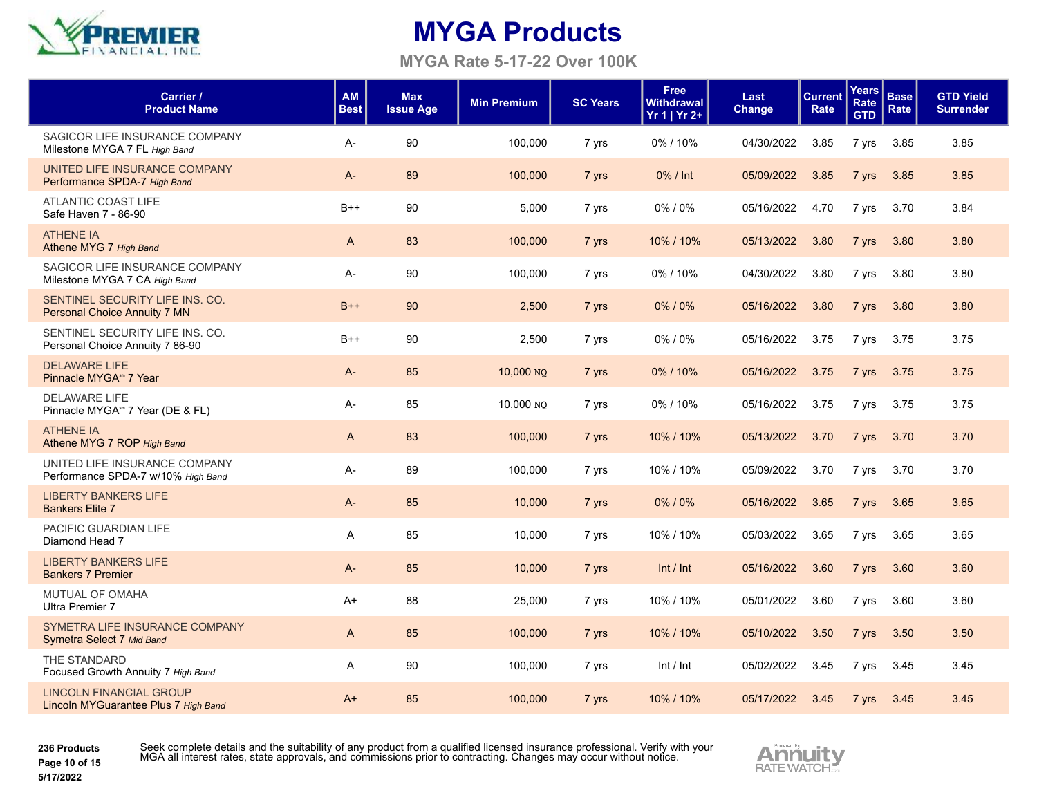

**MYGA Rate 5-17-22 Over 100K**

| Carrier /<br><b>Product Name</b>                                       | <b>AM</b><br><b>Best</b> | <b>Max</b><br><b>Issue Age</b> | <b>Min Premium</b> | <b>SC Years</b> | <b>Free</b><br><b>Withdrawal</b><br>Yr 1   Yr 2+ | Last<br>Change | <b>Current</b><br>Rate | Years<br>Rate<br><b>GTD</b> | <b>Base</b><br>Rate | <b>GTD Yield</b><br><b>Surrender</b> |
|------------------------------------------------------------------------|--------------------------|--------------------------------|--------------------|-----------------|--------------------------------------------------|----------------|------------------------|-----------------------------|---------------------|--------------------------------------|
| SAGICOR LIFE INSURANCE COMPANY<br>Milestone MYGA 7 FL High Band        | A-                       | 90                             | 100.000            | 7 yrs           | 0%/10%                                           | 04/30/2022     | 3.85                   | 7 yrs                       | 3.85                | 3.85                                 |
| UNITED LIFE INSURANCE COMPANY<br>Performance SPDA-7 High Band          | $A -$                    | 89                             | 100,000            | 7 yrs           | 0% / Int                                         | 05/09/2022     | 3.85                   | 7 yrs                       | 3.85                | 3.85                                 |
| ATLANTIC COAST LIFE<br>Safe Haven 7 - 86-90                            | $B++$                    | 90                             | 5,000              | 7 yrs           | $0\%$ / $0\%$                                    | 05/16/2022     | 4.70                   | 7 yrs                       | 3.70                | 3.84                                 |
| <b>ATHENE IA</b><br>Athene MYG 7 High Band                             | A                        | 83                             | 100,000            | 7 yrs           | 10% / 10%                                        | 05/13/2022     | 3.80                   | 7 yrs                       | 3.80                | 3.80                                 |
| SAGICOR LIFE INSURANCE COMPANY<br>Milestone MYGA 7 CA High Band        | A-                       | 90                             | 100,000            | 7 yrs           | 0%/10%                                           | 04/30/2022     | 3.80                   | 7 yrs                       | 3.80                | 3.80                                 |
| SENTINEL SECURITY LIFE INS. CO.<br>Personal Choice Annuity 7 MN        | $B++$                    | 90                             | 2,500              | 7 yrs           | 0%/0%                                            | 05/16/2022     | 3.80                   | 7 yrs                       | 3.80                | 3.80                                 |
| SENTINEL SECURITY LIFE INS. CO.<br>Personal Choice Annuity 7 86-90     | $B++$                    | 90                             | 2,500              | 7 yrs           | 0%/0%                                            | 05/16/2022     | 3.75                   | 7 yrs                       | 3.75                | 3.75                                 |
| <b>DELAWARE LIFE</b><br>Pinnacle MYGA <sup>sm</sup> 7 Year             | A-                       | 85                             | 10,000 NO          | 7 yrs           | 0%/10%                                           | 05/16/2022     | 3.75                   | 7 yrs                       | 3.75                | 3.75                                 |
| <b>DELAWARE LIFE</b><br>Pinnacle MYGA <sup>®</sup> 7 Year (DE & FL)    | A-                       | 85                             | 10,000 NO          | 7 yrs           | 0%/10%                                           | 05/16/2022     | 3.75                   | 7 yrs                       | 3.75                | 3.75                                 |
| <b>ATHENE IA</b><br>Athene MYG 7 ROP High Band                         | A                        | 83                             | 100,000            | 7 yrs           | 10% / 10%                                        | 05/13/2022     | 3.70                   | 7 yrs                       | 3.70                | 3.70                                 |
| UNITED LIFE INSURANCE COMPANY<br>Performance SPDA-7 w/10% High Band    | A-                       | 89                             | 100,000            | 7 yrs           | 10% / 10%                                        | 05/09/2022     | 3.70                   | 7 yrs                       | 3.70                | 3.70                                 |
| <b>LIBERTY BANKERS LIFE</b><br><b>Bankers Elite 7</b>                  | $A-$                     | 85                             | 10,000             | 7 yrs           | 0%/0%                                            | 05/16/2022     | 3.65                   | 7 yrs                       | 3.65                | 3.65                                 |
| PACIFIC GUARDIAN LIFE<br>Diamond Head 7                                | A                        | 85                             | 10,000             | 7 yrs           | 10% / 10%                                        | 05/03/2022     | 3.65                   | 7 yrs                       | 3.65                | 3.65                                 |
| <b>LIBERTY BANKERS LIFE</b><br><b>Bankers 7 Premier</b>                | $A -$                    | 85                             | 10,000             | 7 yrs           | Int / Int                                        | 05/16/2022     | 3.60                   | 7 yrs                       | 3.60                | 3.60                                 |
| <b>MUTUAL OF OMAHA</b><br><b>Ultra Premier 7</b>                       | $A+$                     | 88                             | 25,000             | 7 yrs           | 10% / 10%                                        | 05/01/2022     | 3.60                   | 7 yrs                       | 3.60                | 3.60                                 |
| SYMETRA LIFE INSURANCE COMPANY<br>Symetra Select 7 Mid Band            | A                        | 85                             | 100,000            | 7 yrs           | 10% / 10%                                        | 05/10/2022     | 3.50                   | 7 yrs                       | 3.50                | 3.50                                 |
| THE STANDARD<br>Focused Growth Annuity 7 High Band                     | A                        | 90                             | 100,000            | 7 yrs           | Int / Int                                        | 05/02/2022     | 3.45                   | 7 yrs                       | 3.45                | 3.45                                 |
| <b>LINCOLN FINANCIAL GROUP</b><br>Lincoln MYGuarantee Plus 7 High Band | $A+$                     | 85                             | 100,000            | 7 yrs           | 10% / 10%                                        | 05/17/2022     | 3.45                   | 7 yrs                       | 3.45                | 3.45                                 |

**236 Products Page 10 of 15**

**5/17/2022**

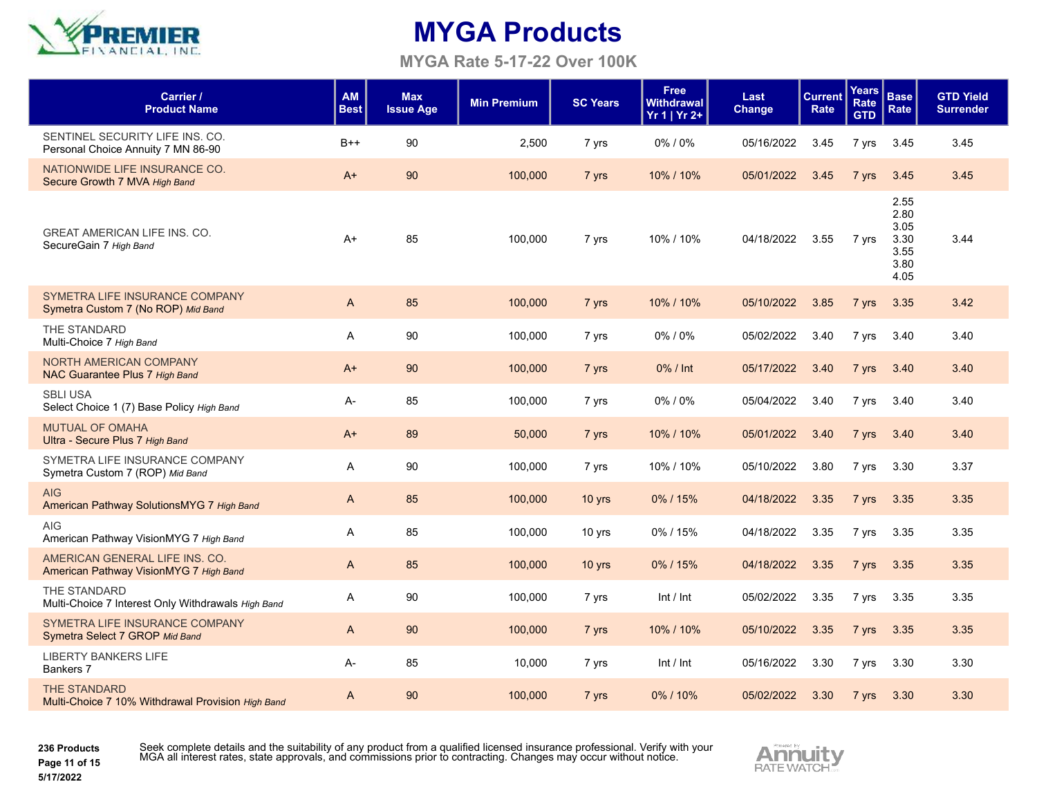

**MYGA Rate 5-17-22 Over 100K**

| Carrier /<br><b>Product Name</b>                                         | AM<br><b>Best</b> | <b>Max</b><br><b>Issue Age</b> | <b>Min Premium</b> | <b>SC Years</b> | <b>Free</b><br>Withdrawal<br>$Yr 1   Yr 2+$ | Last<br>Change | <b>Current</b><br>Rate | Years<br>Rate<br><b>GTD</b> | <b>Base</b><br>Rate                                  | <b>GTD Yield</b><br><b>Surrender</b> |
|--------------------------------------------------------------------------|-------------------|--------------------------------|--------------------|-----------------|---------------------------------------------|----------------|------------------------|-----------------------------|------------------------------------------------------|--------------------------------------|
| SENTINEL SECURITY LIFE INS. CO.<br>Personal Choice Annuity 7 MN 86-90    | $B++$             | 90                             | 2,500              | 7 yrs           | 0%/0%                                       | 05/16/2022     | 3.45                   | 7 yrs                       | 3.45                                                 | 3.45                                 |
| NATIONWIDE LIFE INSURANCE CO.<br>Secure Growth 7 MVA High Band           | $A+$              | 90                             | 100,000            | 7 yrs           | 10% / 10%                                   | 05/01/2022     | 3.45                   | 7 yrs                       | 3.45                                                 | 3.45                                 |
| <b>GREAT AMERICAN LIFE INS. CO.</b><br>SecureGain 7 High Band            | $A+$              | 85                             | 100,000            | 7 yrs           | 10% / 10%                                   | 04/18/2022     | 3.55                   | 7 yrs                       | 2.55<br>2.80<br>3.05<br>3.30<br>3.55<br>3.80<br>4.05 | 3.44                                 |
| SYMETRA LIFE INSURANCE COMPANY<br>Symetra Custom 7 (No ROP) Mid Band     | $\mathsf{A}$      | 85                             | 100,000            | 7 yrs           | 10% / 10%                                   | 05/10/2022     | 3.85                   | 7 yrs                       | 3.35                                                 | 3.42                                 |
| THE STANDARD<br>Multi-Choice 7 High Band                                 | A                 | 90                             | 100,000            | 7 yrs           | 0%/0%                                       | 05/02/2022     | 3.40                   | 7 yrs                       | 3.40                                                 | 3.40                                 |
| NORTH AMERICAN COMPANY<br>NAC Guarantee Plus 7 High Band                 | $A+$              | 90                             | 100,000            | 7 yrs           | 0% / Int                                    | 05/17/2022     | 3.40                   | 7 yrs                       | 3.40                                                 | 3.40                                 |
| <b>SBLI USA</b><br>Select Choice 1 (7) Base Policy High Band             | $A -$             | 85                             | 100.000            | 7 yrs           | 0%/0%                                       | 05/04/2022     | 3.40                   | 7 yrs                       | 3.40                                                 | 3.40                                 |
| <b>MUTUAL OF OMAHA</b><br>Ultra - Secure Plus 7 High Band                | $A+$              | 89                             | 50,000             | 7 yrs           | 10% / 10%                                   | 05/01/2022     | 3.40                   | 7 yrs                       | 3.40                                                 | 3.40                                 |
| SYMETRA LIFE INSURANCE COMPANY<br>Symetra Custom 7 (ROP) Mid Band        | A                 | 90                             | 100,000            | 7 yrs           | 10% / 10%                                   | 05/10/2022     | 3.80                   | 7 yrs                       | 3.30                                                 | 3.37                                 |
| <b>AIG</b><br>American Pathway SolutionsMYG 7 High Band                  | A                 | 85                             | 100,000            | $10$ yrs        | $0\%$ / 15%                                 | 04/18/2022     | 3.35                   | 7 yrs                       | 3.35                                                 | 3.35                                 |
| <b>AIG</b><br>American Pathway VisionMYG 7 High Band                     | A                 | 85                             | 100,000            | 10 yrs          | 0%/15%                                      | 04/18/2022     | 3.35                   | 7 yrs                       | 3.35                                                 | 3.35                                 |
| AMERICAN GENERAL LIFE INS. CO.<br>American Pathway VisionMYG 7 High Band | $\mathsf{A}$      | 85                             | 100,000            | $10$ yrs        | 0%/15%                                      | 04/18/2022     | 3.35                   | 7 yrs                       | 3.35                                                 | 3.35                                 |
| THE STANDARD<br>Multi-Choice 7 Interest Only Withdrawals High Band       | A                 | 90                             | 100,000            | 7 yrs           | Int / Int                                   | 05/02/2022     | 3.35                   | 7 yrs                       | 3.35                                                 | 3.35                                 |
| SYMETRA LIFE INSURANCE COMPANY<br>Symetra Select 7 GROP Mid Band         | A                 | 90                             | 100,000            | 7 yrs           | 10% / 10%                                   | 05/10/2022     | 3.35                   | 7 yrs                       | 3.35                                                 | 3.35                                 |
| <b>LIBERTY BANKERS LIFE</b><br>Bankers 7                                 | A-                | 85                             | 10,000             | 7 yrs           | Int / Int                                   | 05/16/2022     | 3.30                   | 7 yrs                       | 3.30                                                 | 3.30                                 |
| <b>THE STANDARD</b><br>Multi-Choice 7 10% Withdrawal Provision High Band | A                 | 90                             | 100,000            | 7 yrs           | 0%/10%                                      | 05/02/2022     | 3.30                   | 7 yrs                       | 3.30                                                 | 3.30                                 |

**236 Products Page 11 of 15** Seek complete details and the suitability of any product from a qualified licensed insurance professional. Verify with your<br>MGA all interest rates, state approvals, and commissions prior to contracting. Changes may occur w

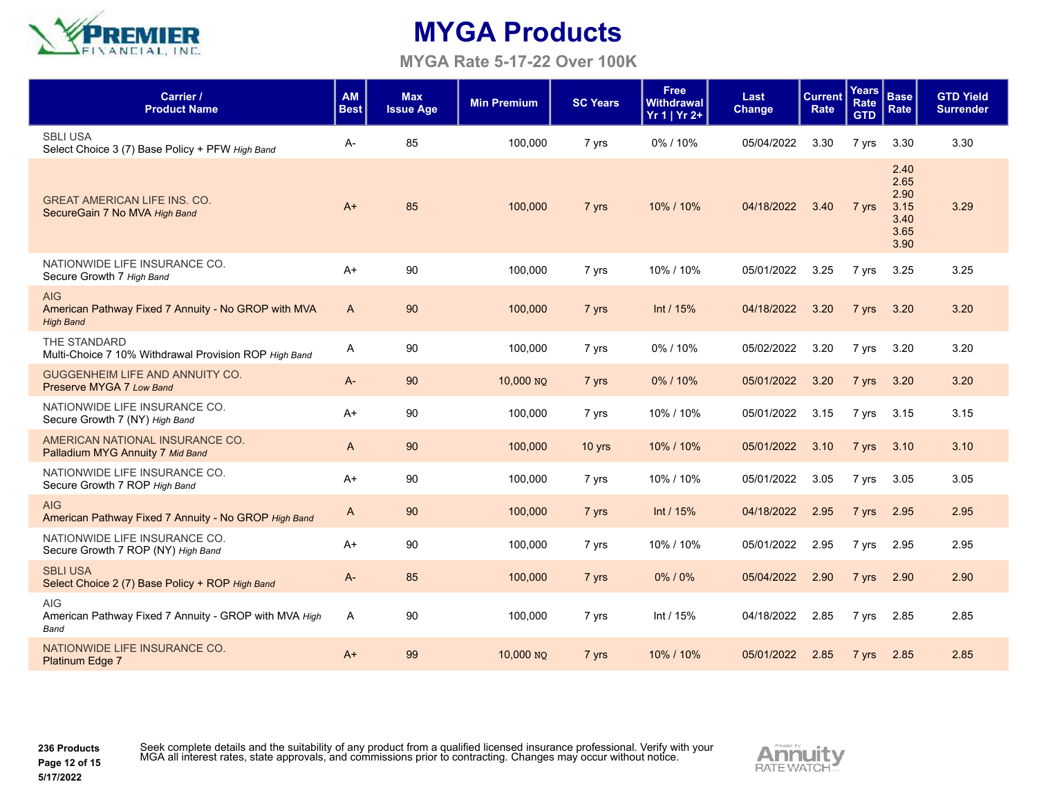

**MYGA Rate 5-17-22 Over 100K**

| Carrier /<br><b>Product Name</b>                                                      | <b>AM</b><br><b>Best</b> | <b>Max</b><br><b>Issue Age</b> | <b>Min Premium</b> | <b>SC Years</b> | <b>Free</b><br>Withdrawal<br>$Yr 1   Yr 2+$ | Last<br>Change | <b>Current</b><br>Rate | <b>Years</b><br>Rate<br><b>GTD</b> | <b>Base</b><br>Rate                                  | <b>GTD Yield</b><br><b>Surrender</b> |
|---------------------------------------------------------------------------------------|--------------------------|--------------------------------|--------------------|-----------------|---------------------------------------------|----------------|------------------------|------------------------------------|------------------------------------------------------|--------------------------------------|
| <b>SBLI USA</b><br>Select Choice 3 (7) Base Policy + PFW High Band                    | A-                       | 85                             | 100,000            | 7 yrs           | 0%/10%                                      | 05/04/2022     | 3.30                   | 7 yrs                              | 3.30                                                 | 3.30                                 |
| <b>GREAT AMERICAN LIFE INS. CO.</b><br>SecureGain 7 No MVA High Band                  | $A+$                     | 85                             | 100,000            | 7 yrs           | 10% / 10%                                   | 04/18/2022     | 3.40                   | 7 yrs                              | 2.40<br>2.65<br>2.90<br>3.15<br>3.40<br>3.65<br>3.90 | 3.29                                 |
| NATIONWIDE LIFE INSURANCE CO.<br>Secure Growth 7 High Band                            | $A+$                     | 90                             | 100,000            | 7 yrs           | 10% / 10%                                   | 05/01/2022     | 3.25                   | 7 yrs                              | 3.25                                                 | 3.25                                 |
| <b>AIG</b><br>American Pathway Fixed 7 Annuity - No GROP with MVA<br><b>High Band</b> | $\mathsf{A}$             | 90                             | 100,000            | 7 yrs           | Int / $15%$                                 | 04/18/2022     | 3.20                   | 7 yrs                              | 3.20                                                 | 3.20                                 |
| THE STANDARD<br>Multi-Choice 7 10% Withdrawal Provision ROP High Band                 | A                        | 90                             | 100,000            | 7 yrs           | 0%/10%                                      | 05/02/2022     | 3.20                   | 7 yrs                              | 3.20                                                 | 3.20                                 |
| <b>GUGGENHEIM LIFE AND ANNUITY CO.</b><br>Preserve MYGA 7 Low Band                    | $A -$                    | 90                             | 10,000 NO          | 7 yrs           | 0%/10%                                      | 05/01/2022     | 3.20                   | 7 yrs                              | 3.20                                                 | 3.20                                 |
| NATIONWIDE LIFE INSURANCE CO.<br>Secure Growth 7 (NY) High Band                       | $A+$                     | 90                             | 100,000            | 7 yrs           | 10% / 10%                                   | 05/01/2022     | 3.15                   | 7 yrs                              | 3.15                                                 | 3.15                                 |
| AMERICAN NATIONAL INSURANCE CO.<br>Palladium MYG Annuity 7 Mid Band                   | A                        | 90                             | 100,000            | 10 yrs          | 10% / 10%                                   | 05/01/2022     | 3.10                   | 7 yrs                              | 3.10                                                 | 3.10                                 |
| NATIONWIDE LIFE INSURANCE CO.<br>Secure Growth 7 ROP High Band                        | $A+$                     | 90                             | 100,000            | 7 yrs           | 10% / 10%                                   | 05/01/2022     | 3.05                   | 7 yrs                              | 3.05                                                 | 3.05                                 |
| <b>AIG</b><br>American Pathway Fixed 7 Annuity - No GROP High Band                    | A                        | 90                             | 100,000            | 7 yrs           | Int $/ 15%$                                 | 04/18/2022     | 2.95                   | 7 yrs                              | 2.95                                                 | 2.95                                 |
| NATIONWIDE LIFE INSURANCE CO.<br>Secure Growth 7 ROP (NY) High Band                   | A+                       | 90                             | 100,000            | 7 yrs           | 10% / 10%                                   | 05/01/2022     | 2.95                   | 7 yrs                              | 2.95                                                 | 2.95                                 |
| <b>SBLI USA</b><br>Select Choice 2 (7) Base Policy + ROP High Band                    | $A -$                    | 85                             | 100,000            | 7 yrs           | $0\%$ / $0\%$                               | 05/04/2022     | 2.90                   | 7 yrs                              | 2.90                                                 | 2.90                                 |
| <b>AIG</b><br>American Pathway Fixed 7 Annuity - GROP with MVA High<br><b>Band</b>    | A                        | 90                             | 100,000            | 7 yrs           | Int / $15%$                                 | 04/18/2022     | 2.85                   | 7 yrs                              | 2.85                                                 | 2.85                                 |
| NATIONWIDE LIFE INSURANCE CO.<br><b>Platinum Edge 7</b>                               | $A+$                     | 99                             | 10,000 NO          | 7 yrs           | 10% / 10%                                   | 05/01/2022     | 2.85                   | 7 yrs                              | 2.85                                                 | 2.85                                 |

**236 Products Page 12 of 15 5/17/2022**

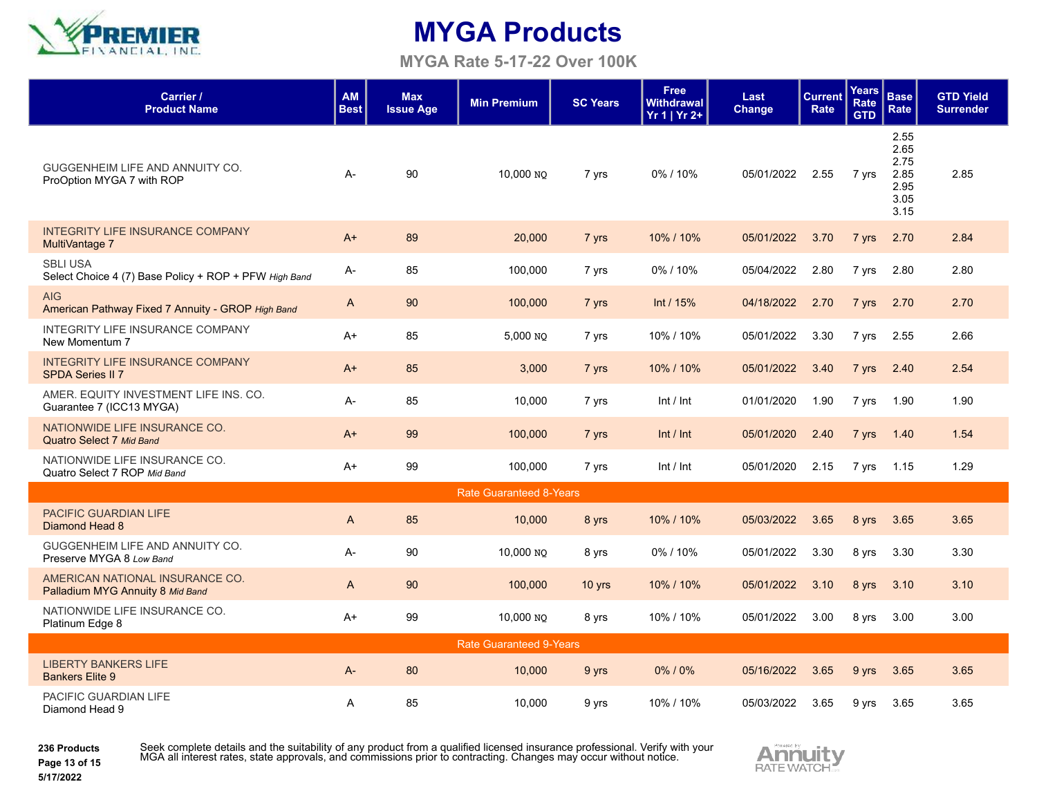

**MYGA Rate 5-17-22 Over 100K**

| Carrier /<br><b>Product Name</b>                                         | <b>AM</b><br><b>Best</b> | <b>Max</b><br><b>Issue Age</b> | <b>Min Premium</b> | <b>SC Years</b> | <b>Free</b><br>Withdrawal  <br>Yr 1   Yr 2+ | Last<br><b>Change</b> | <b>Current</b><br>Rate | <b>Years</b><br><b>Rate</b><br><b>GTD</b> | <b>Base</b><br>Rate                                  | <b>GTD Yield</b><br><b>Surrender</b> |
|--------------------------------------------------------------------------|--------------------------|--------------------------------|--------------------|-----------------|---------------------------------------------|-----------------------|------------------------|-------------------------------------------|------------------------------------------------------|--------------------------------------|
| GUGGENHEIM LIFE AND ANNUITY CO.<br>ProOption MYGA 7 with ROP             | $A -$                    | 90                             | 10,000 NO          | 7 yrs           | 0%/10%                                      | 05/01/2022            | 2.55                   | 7 yrs                                     | 2.55<br>2.65<br>2.75<br>2.85<br>2.95<br>3.05<br>3.15 | 2.85                                 |
| <b>INTEGRITY LIFE INSURANCE COMPANY</b><br>MultiVantage 7                | $A+$                     | 89                             | 20,000             | 7 yrs           | 10% / 10%                                   | 05/01/2022            | 3.70                   | 7 yrs                                     | 2.70                                                 | 2.84                                 |
| <b>SBLI USA</b><br>Select Choice 4 (7) Base Policy + ROP + PFW High Band | A-                       | 85                             | 100,000            | 7 yrs           | 0%/10%                                      | 05/04/2022            | 2.80                   | 7 yrs                                     | 2.80                                                 | 2.80                                 |
| <b>AIG</b><br>American Pathway Fixed 7 Annuity - GROP High Band          | A                        | 90                             | 100,000            | 7 yrs           | Int / $15%$                                 | 04/18/2022            | 2.70                   | 7 yrs                                     | 2.70                                                 | 2.70                                 |
| <b>INTEGRITY LIFE INSURANCE COMPANY</b><br>New Momentum 7                | $A+$                     | 85                             | 5,000 NO           | 7 yrs           | 10% / 10%                                   | 05/01/2022            | 3.30                   | 7 yrs                                     | 2.55                                                 | 2.66                                 |
| <b>INTEGRITY LIFE INSURANCE COMPANY</b><br><b>SPDA Series II 7</b>       | $A+$                     | 85                             | 3,000              | 7 yrs           | 10% / 10%                                   | 05/01/2022            | 3.40                   | 7 yrs                                     | 2.40                                                 | 2.54                                 |
| AMER. EQUITY INVESTMENT LIFE INS. CO.<br>Guarantee 7 (ICC13 MYGA)        | A-                       | 85                             | 10,000             | 7 yrs           | Int / Int                                   | 01/01/2020            | 1.90                   | 7 yrs                                     | 1.90                                                 | 1.90                                 |
| NATIONWIDE LIFE INSURANCE CO.<br>Quatro Select 7 Mid Band                | $A+$                     | 99                             | 100,000            | 7 yrs           | Int / Int                                   | 05/01/2020            | 2.40                   | 7 yrs                                     | 1.40                                                 | 1.54                                 |
| NATIONWIDE LIFE INSURANCE CO.<br>Quatro Select 7 ROP Mid Band            | A+                       | 99                             | 100,000            | 7 yrs           | Int / Int                                   | 05/01/2020            | 2.15                   | 7 yrs                                     | 1.15                                                 | 1.29                                 |
| <b>Rate Guaranteed 8-Years</b>                                           |                          |                                |                    |                 |                                             |                       |                        |                                           |                                                      |                                      |
| <b>PACIFIC GUARDIAN LIFE</b><br>Diamond Head 8                           | A                        | 85                             | 10,000             | 8 yrs           | 10% / 10%                                   | 05/03/2022            | 3.65                   | 8 yrs                                     | 3.65                                                 | 3.65                                 |
| GUGGENHEIM LIFE AND ANNUITY CO.<br>Preserve MYGA 8 Low Band              | $A -$                    | 90                             | 10,000 NO          | 8 yrs           | 0%/10%                                      | 05/01/2022            | 3.30                   | 8 yrs                                     | 3.30                                                 | 3.30                                 |
| AMERICAN NATIONAL INSURANCE CO.<br>Palladium MYG Annuity 8 Mid Band      | A                        | 90                             | 100,000            | $10$ yrs        | 10% / 10%                                   | 05/01/2022            | 3.10                   | 8 yrs                                     | 3.10                                                 | 3.10                                 |
| NATIONWIDE LIFE INSURANCE CO.<br>Platinum Edge 8                         | A+                       | 99                             | 10,000 NO          | 8 yrs           | 10% / 10%                                   | 05/01/2022            | 3.00                   | 8 yrs                                     | 3.00                                                 | 3.00                                 |
| <b>Rate Guaranteed 9-Years</b>                                           |                          |                                |                    |                 |                                             |                       |                        |                                           |                                                      |                                      |
| <b>LIBERTY BANKERS LIFE</b><br><b>Bankers Elite 9</b>                    | $A -$                    | 80                             | 10,000             | 9 yrs           | 0%/0%                                       | 05/16/2022            | 3.65                   | 9 yrs                                     | 3.65                                                 | 3.65                                 |
| PACIFIC GUARDIAN LIFE<br>Diamond Head 9                                  | Α                        | 85                             | 10,000             | 9 yrs           | 10% / 10%                                   | 05/03/2022            | 3.65                   | 9 yrs                                     | 3.65                                                 | 3.65                                 |

**236 Products Page 13 of 15** Seek complete details and the suitability of any product from a qualified licensed insurance professional. Verify with your<br>MGA all interest rates, state approvals, and commissions prior to contracting. Changes may occur w

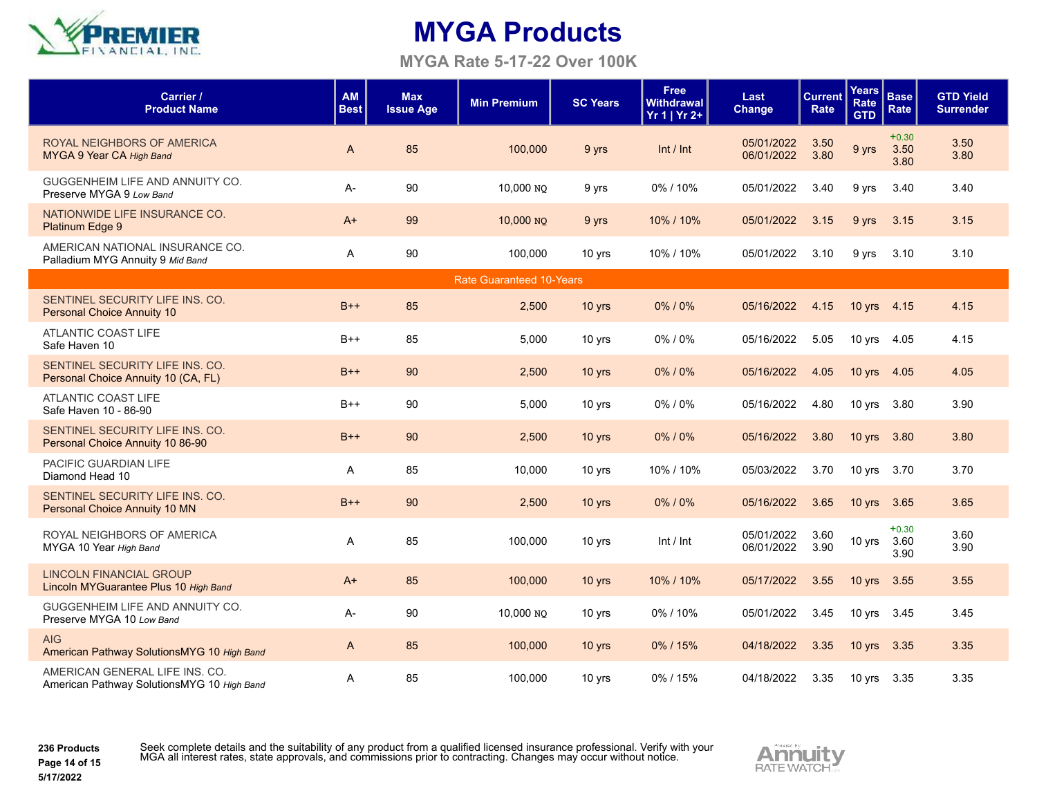

#### **MYGA Rate 5-17-22 Over 100K**

| Carrier /<br><b>Product Name</b>                                             | <b>AM</b><br><b>Best</b> | <b>Max</b><br><b>Issue Age</b> | <b>Min Premium</b> | <b>SC Years</b> | <b>Free</b><br><b>Withdrawal</b><br>$Yr 1   Yr 2+$ | Last<br><b>Change</b>    | <b>Current</b><br>Rate | <b>Years</b><br>Rate<br><b>GTD</b> | <b>Base</b><br>Rate     | <b>GTD Yield</b><br><b>Surrender</b> |
|------------------------------------------------------------------------------|--------------------------|--------------------------------|--------------------|-----------------|----------------------------------------------------|--------------------------|------------------------|------------------------------------|-------------------------|--------------------------------------|
| ROYAL NEIGHBORS OF AMERICA<br>MYGA 9 Year CA High Band                       | A                        | 85                             | 100,000            | 9 yrs           | Int / Int                                          | 05/01/2022<br>06/01/2022 | 3.50<br>3.80           | 9 yrs                              | $+0.30$<br>3.50<br>3.80 | 3.50<br>3.80                         |
| GUGGENHEIM LIFE AND ANNUITY CO.<br>Preserve MYGA 9 Low Band                  | A-                       | 90                             | 10,000 NO          | 9 yrs           | 0%/10%                                             | 05/01/2022               | 3.40                   | 9 yrs                              | 3.40                    | 3.40                                 |
| NATIONWIDE LIFE INSURANCE CO.<br>Platinum Edge 9                             | $A+$                     | 99                             | 10,000 NO          | 9 yrs           | 10% / 10%                                          | 05/01/2022               | 3.15                   | 9 yrs                              | 3.15                    | 3.15                                 |
| AMERICAN NATIONAL INSURANCE CO.<br>Palladium MYG Annuity 9 Mid Band          | A                        | 90                             | 100,000            | 10 yrs          | 10% / 10%                                          | 05/01/2022               | 3.10                   | 9 yrs                              | 3.10                    | 3.10                                 |
| <b>Rate Guaranteed 10-Years</b>                                              |                          |                                |                    |                 |                                                    |                          |                        |                                    |                         |                                      |
| SENTINEL SECURITY LIFE INS. CO.<br><b>Personal Choice Annuity 10</b>         | $B++$                    | 85                             | 2,500              | 10 yrs          | 0%/0%                                              | 05/16/2022               | 4.15                   | 10 yrs 4.15                        |                         | 4.15                                 |
| <b>ATLANTIC COAST LIFE</b><br>Safe Haven 10                                  | $B++$                    | 85                             | 5,000              | 10 yrs          | 0%/0%                                              | 05/16/2022               | 5.05                   | 10 yrs                             | 4.05                    | 4.15                                 |
| SENTINEL SECURITY LIFE INS. CO.<br>Personal Choice Annuity 10 (CA, FL)       | $B++$                    | 90                             | 2,500              | 10 yrs          | 0%/0%                                              | 05/16/2022               | 4.05                   | 10 yrs                             | 4.05                    | 4.05                                 |
| ATLANTIC COAST LIFE<br>Safe Haven 10 - 86-90                                 | $B++$                    | 90                             | 5,000              | 10 yrs          | 0%/0%                                              | 05/16/2022               | 4.80                   | 10 yrs                             | 3.80                    | 3.90                                 |
| SENTINEL SECURITY LIFE INS. CO.<br>Personal Choice Annuity 10 86-90          | $B++$                    | 90                             | 2,500              | 10 yrs          | 0%/0%                                              | 05/16/2022               | 3.80                   | 10 yrs                             | 3.80                    | 3.80                                 |
| PACIFIC GUARDIAN LIFE<br>Diamond Head 10                                     | A                        | 85                             | 10,000             | 10 yrs          | 10% / 10%                                          | 05/03/2022               | 3.70                   | 10 yrs                             | 3.70                    | 3.70                                 |
| SENTINEL SECURITY LIFE INS. CO.<br><b>Personal Choice Annuity 10 MN</b>      | $B++$                    | 90                             | 2,500              | 10 yrs          | 0%/0%                                              | 05/16/2022               | 3.65                   | 10 yrs                             | 3.65                    | 3.65                                 |
| ROYAL NEIGHBORS OF AMERICA<br>MYGA 10 Year High Band                         | A                        | 85                             | 100,000            | 10 yrs          | Int / Int                                          | 05/01/2022<br>06/01/2022 | 3.60<br>3.90           | 10 yrs                             | $+0.30$<br>3.60<br>3.90 | 3.60<br>3.90                         |
| <b>LINCOLN FINANCIAL GROUP</b><br>Lincoln MYGuarantee Plus 10 High Band      | $A+$                     | 85                             | 100,000            | 10 yrs          | 10% / 10%                                          | 05/17/2022               | 3.55                   | 10 yrs                             | 3.55                    | 3.55                                 |
| GUGGENHEIM LIFE AND ANNUITY CO.<br>Preserve MYGA 10 Low Band                 | $A -$                    | 90                             | 10,000 NO          | 10 yrs          | 0%/10%                                             | 05/01/2022               | 3.45                   | 10 yrs 3.45                        |                         | 3.45                                 |
| <b>AIG</b><br>American Pathway SolutionsMYG 10 High Band                     | $\mathsf{A}$             | 85                             | 100,000            | 10 yrs          | 0%/15%                                             | 04/18/2022               | 3.35                   | 10 yrs 3.35                        |                         | 3.35                                 |
| AMERICAN GENERAL LIFE INS. CO.<br>American Pathway SolutionsMYG 10 High Band | A                        | 85                             | 100,000            | 10 yrs          | 0%/15%                                             | 04/18/2022               | 3.35                   | 10 yrs 3.35                        |                         | 3.35                                 |

**236 Products Page 14 of 15 5/17/2022**